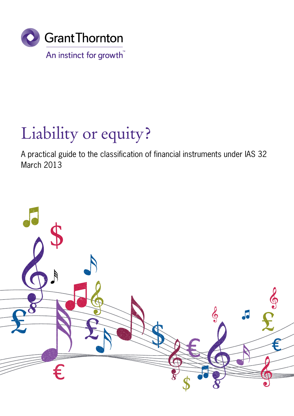

# Liability or equity?

A practical guide to the classification of financial instruments under IAS 32 March 2013

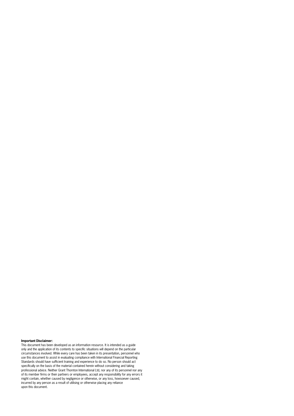#### **Important Disclaimer:**

This document has been developed as an information resource. It is intended as a guide only and the application of its contents to specific situations will depend on the particular circumstances involved. While every care has been taken in its presentation, personnel who use this document to assist in evaluating compliance with International Financial Reporting Standards should have sufficient training and experience to do so. No person should act specifically on the basis of the material contained herein without considering and taking professional advice. Neither Grant Thornton International Ltd, nor any of its personnel nor any of its member firms or their partners or employees, accept any responsibility for any errors it might contain, whether caused by negligence or otherwise, or any loss, howsoever caused, incurred by any person as a result of utilising or otherwise placing any reliance upon this document.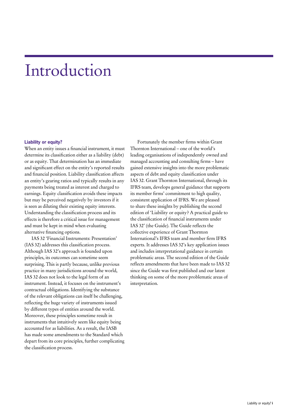## Introduction

#### **Liability or equity?**

When an entity issues a financial instrument, it must determine its classification either as a liability (debt) or as equity. That determination has an immediate and significant effect on the entity's reported results and financial position. Liability classification affects an entity's gearing ratios and typically results in any payments being treated as interest and charged to earnings. Equity classification avoids these impacts but may be perceived negatively by investors if it is seen as diluting their existing equity interests. Understanding the classification process and its effects is therefore a critical issue for management and must be kept in mind when evaluating alternative financing options.

IAS 32 'Financial Instruments: Presentation' (IAS 32) addresses this classification process. Although IAS 32's approach is founded upon principles, its outcomes can sometime seem surprising. This is partly because, unlike previous practice in many jurisdictions around the world, IAS 32 does not look to the legal form of an instrument. Instead, it focuses on the instrument's contractual obligations. Identifying the substance of the relevant obligations can itself be challenging, reflecting the huge variety of instruments issued by different types of entities around the world. Moreover, these principles sometime result in instruments that intuitively seem like equity being accounted for as liabilities. As a result, the IASB has made some amendments to the Standard which depart from its core principles, further complicating the classification process.

Fortunately the member firms within Grant Thornton International – one of the world's leading organisations of independently owned and managed accounting and consulting firms – have gained extensive insights into the more problematic aspects of debt and equity classification under IAS 32. Grant Thornton International, through its IFRS team, develops general guidance that supports its member firms' commitment to high quality, consistent application of IFRS. We are pleased to share these insights by publishing the second edition of 'Liability or equity? A practical guide to the classification of financial instruments under IAS 32' (the Guide). The Guide reflects the collective experience of Grant Thornton International's IFRS team and member firm IFRS experts. It addresses IAS 32's key application issues and includes interpretational guidance in certain problematic areas. The second edition of the Guide reflects amendments that have been made to IAS 32 since the Guide was first published and our latest thinking on some of the more problematic areas of interpretation.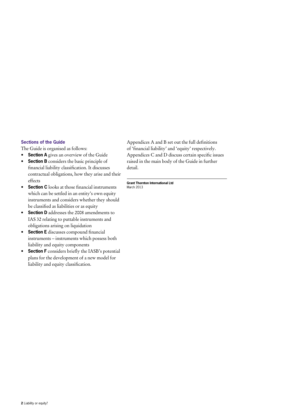## **Sections of the Guide**

The Guide is organised as follows:

- **Section A** gives an overview of the Guide
- **Section B** considers the basic principle of financial liability classification. It discusses contractual obligations, how they arise and their effects
- **Section C** looks at those financial instruments which can be settled in an entity's own equity instruments and considers whether they should be classified as liabilities or as equity
- **Section D** addresses the 2008 amendments to IAS 32 relating to puttable instruments and obligations arising on liquidation
- **Section E** discusses compound financial instruments – instruments which possess both liability and equity components
- **Section F** considers briefly the IASB's potential plans for the development of a new model for liability and equity classification.

Appendices A and B set out the full definitions of 'financial liability' and 'equity' respectively. Appendices C and D discuss certain specific issues raised in the main body of the Guide in further detail.

**Grant Thornton International Ltd** March 2013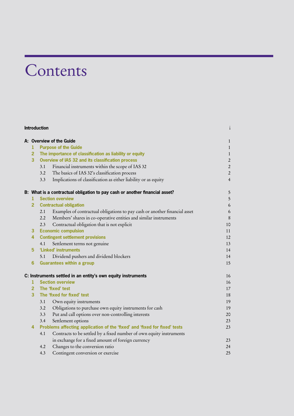## Contents

|                | Introduction                                                                      | $\,1$          |
|----------------|-----------------------------------------------------------------------------------|----------------|
|                | A: Overview of the Guide                                                          | 1              |
| 1              | <b>Purpose of the Guide</b>                                                       | $\mathbf{1}$   |
| $\overline{2}$ | The importance of classification as liability or equity                           | $\mathbf{1}$   |
| 3              | Overview of IAS 32 and its classification process                                 | $\overline{2}$ |
|                | Financial instruments within the scope of IAS 32<br>3.1                           | $\sqrt{2}$     |
|                | 3.2<br>The basics of IAS 32's classification process                              | $\overline{2}$ |
|                | Implications of classification as either liability or as equity<br>3.3            | $\overline{4}$ |
|                | B: What is a contractual obligation to pay cash or another financial asset?       | 5              |
| 1.             | <b>Section overview</b>                                                           | 5              |
| $\overline{2}$ | <b>Contractual obligation</b>                                                     | 6              |
|                | 2.1<br>Examples of contractual obligations to pay cash or another financial asset | 6              |
|                | Members' shares in co-operative entities and similar instruments<br>2.2           | 8              |
|                | Contractual obligation that is not explicit<br>2.3                                | 10             |
| 3              | <b>Economic compulsion</b>                                                        | 11             |
| 4              | <b>Contingent settlement provisions</b>                                           | 12             |
|                | Settlement terms not genuine<br>4.1                                               | 13             |
| 5              | 'Linked' instruments                                                              | 14             |
|                | Dividend pushers and dividend blockers<br>5.1                                     | 14             |
| 6              | <b>Guarantees within a group</b>                                                  | 15             |
|                | C: Instruments settled in an entity's own equity instruments                      | 16             |
| $\mathbf{1}$   | <b>Section overview</b>                                                           | 16             |
| $\overline{2}$ | The 'fixed' test                                                                  | 17             |
| 3              | The 'fixed for fixed' test                                                        | 18             |
|                | Own equity instruments<br>3.1                                                     | 19             |
|                | Obligations to purchase own equity instruments for cash<br>3.2                    | 19             |
|                | Put and call options over non-controlling interests<br>3.3                        | 20             |
|                | Settlement options<br>3.4                                                         | 23             |
| 4              | Problems affecting application of the 'fixed' and 'fixed for fixed' tests         | 23             |
|                | Contracts to be settled by a fixed number of own equity instruments<br>4.1        |                |
|                | in exchange for a fixed amount of foreign currency                                | 23             |
|                | 4.2<br>Changes to the conversion ratio                                            | 24             |
|                | Contingent conversion or exercise<br>4.3                                          | 25             |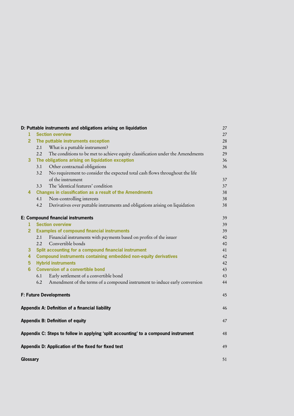|                                                     | D: Puttable instruments and obligations arising on liquidation                        | 27 |  |  |  |
|-----------------------------------------------------|---------------------------------------------------------------------------------------|----|--|--|--|
| 1                                                   | <b>Section overview</b>                                                               | 27 |  |  |  |
| $\mathbf{2}$                                        | The puttable instruments exception                                                    | 28 |  |  |  |
|                                                     | What is a puttable instrument?<br>2.1                                                 | 28 |  |  |  |
|                                                     | 2.2<br>The conditions to be met to achieve equity classification under the Amendments | 29 |  |  |  |
| 3                                                   | The obligations arising on liquidation exception                                      | 36 |  |  |  |
|                                                     | Other contractual obligations<br>3.1                                                  | 36 |  |  |  |
|                                                     | No requirement to consider the expected total cash flows throughout the life<br>3.2   |    |  |  |  |
|                                                     | of the instrument                                                                     | 37 |  |  |  |
|                                                     | The 'identical features' condition<br>3.3                                             | 37 |  |  |  |
| 4                                                   | <b>Changes in classification as a result of the Amendments</b>                        | 38 |  |  |  |
|                                                     | Non-controlling interests<br>4.1                                                      | 38 |  |  |  |
|                                                     | 4.2<br>Derivatives over puttable instruments and obligations arising on liquidation   | 38 |  |  |  |
|                                                     | E: Compound financial instruments                                                     | 39 |  |  |  |
| 1                                                   | <b>Section overview</b>                                                               | 39 |  |  |  |
| $\overline{2}$                                      | <b>Examples of compound financial instruments</b>                                     | 39 |  |  |  |
|                                                     | Financial instruments with payments based on profits of the issuer<br>2.1             | 40 |  |  |  |
|                                                     | Convertible bonds<br>2.2                                                              | 40 |  |  |  |
| 3                                                   | Split accounting for a compound financial instrument                                  | 41 |  |  |  |
| 4                                                   | <b>Compound instruments containing embedded non-equity derivatives</b>                | 42 |  |  |  |
| 5                                                   | <b>Hybrid instruments</b>                                                             | 42 |  |  |  |
| 6                                                   | <b>Conversion of a convertible bond</b>                                               | 43 |  |  |  |
|                                                     | Early settlement of a convertible bond<br>6.1                                         | 43 |  |  |  |
|                                                     | 6.2<br>Amendment of the terms of a compound instrument to induce early conversion     | 44 |  |  |  |
|                                                     | <b>F: Future Developments</b>                                                         | 45 |  |  |  |
|                                                     | Appendix A: Definition of a financial liability                                       | 46 |  |  |  |
|                                                     | <b>Appendix B: Definition of equity</b>                                               | 47 |  |  |  |
|                                                     | Appendix C: Steps to follow in applying 'split accounting' to a compound instrument   | 48 |  |  |  |
| Appendix D: Application of the fixed for fixed test |                                                                                       |    |  |  |  |
|                                                     | Glossary<br>51                                                                        |    |  |  |  |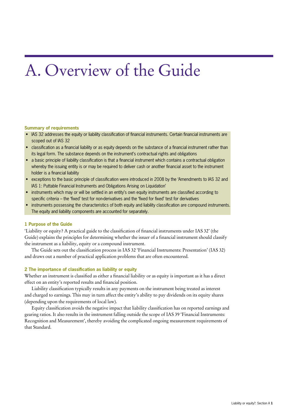## A. Overview of the Guide

#### **Summary of requirements**

- IAS 32 addresses the equity or liability classification of financial instruments. Certain financial instruments are scoped out of IAS 32
- classification as a financial liability or as equity depends on the substance of a financial instrument rather than its legal form. The substance depends on the instrument's contractual rights and obligations
- a basic principle of liability classification is that a financial instrument which contains a contractual obligation whereby the issuing entity is or may be required to deliver cash or another financial asset to the instrument holder is a financial liability
- exceptions to the basic principle of classification were introduced in 2008 by the 'Amendments to IAS 32 and IAS 1: Puttable Financial Instruments and Obligations Arising on Liquidation'
- instruments which may or will be settled in an entity's own equity instruments are classified according to specific criteria – the 'fixed' test for non-derivatives and the 'fixed for fixed' test for derivatives
- instruments possessing the characteristics of both equity and liability classification are compound instruments. The equity and liability components are accounted for separately.

## **1 Purpose of the Guide**

'Liability or equity? A practical guide to the classification of financial instruments under IAS 32' (the Guide) explains the principles for determining whether the issuer of a financial instrument should classify the instrument as a liability, equity or a compound instrument.

The Guide sets out the classification process in IAS 32 'Financial Instruments: Presentation' (IAS 32) and draws out a number of practical application problems that are often encountered.

## **2 The importance of classification as liability or equity**

Whether an instrument is classified as either a financial liability or as equity is important as it has a direct effect on an entity's reported results and financial position.

Liability classification typically results in any payments on the instrument being treated as interest and charged to earnings. This may in turn affect the entity's ability to pay dividends on its equity shares (depending upon the requirements of local law).

Equity classification avoids the negative impact that liability classification has on reported earnings and gearing ratios. It also results in the instrument falling outside the scope of IAS 39 'Financial Instruments: Recognition and Measurement', thereby avoiding the complicated ongoing measurement requirements of that Standard.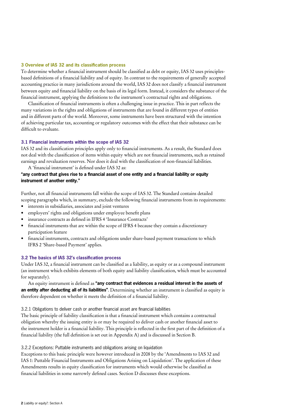#### **3 Overview of IAS 32 and its classification process**

To determine whether a financial instrument should be classified as debt or equity, IAS 32 uses principlesbased definitions of a financial liability and of equity. In contrast to the requirements of generally accepted accounting practice in many jurisdictions around the world, IAS 32 does not classify a financial instrument between equity and financial liability on the basis of its legal form. Instead, it considers the substance of the financial instrument, applying the definitions to the instrument's contractual rights and obligations.

Classification of financial instruments is often a challenging issue in practice. This in part reflects the many variations in the rights and obligations of instruments that are found in different types of entities and in different parts of the world. Moreover, some instruments have been structured with the intention of achieving particular tax, accounting or regulatory outcomes with the effect that their substance can be difficult to evaluate.

#### **3.1 Financial instruments within the scope of IAS 32**

IAS 32 and its classification principles apply only to financial instruments. As a result, the Standard does not deal with the classification of items within equity which are not financial instruments, such as retained earnings and revaluation reserves. Nor does it deal with the classification of non-financial liabilities.

A 'financial instrument' is defined under IAS 32 as:

## **"any contract that gives rise to a financial asset of one entity and a financial liability or equity instrument of another entity."**

Further, not all financial instruments fall within the scope of IAS 32. The Standard contains detailed scoping paragraphs which, in summary, exclude the following financial instruments from its requirements:

- interests in subsidiaries, associates and joint ventures
- employers' rights and obligations under employee benefit plans
- insurance contracts as defined in IFRS 4 'Insurance Contracts'
- financial instruments that are within the scope of IFRS 4 because they contain a discretionary participation feature
- financial instruments, contracts and obligations under share-based payment transactions to which IFRS 2 'Share-based Payment' applies.

#### **3.2 The basics of IAS 32's classification process**

Under IAS 32, a financial instrument can be classified as a liability, as equity or as a compound instrument (an instrument which exhibits elements of both equity and liability classification, which must be accounted for separately).

An equity instrument is defined as **"any contract that evidences a residual interest in the assets of an entity after deducting all of its liabilities"**. Determining whether an instrument is classified as equity is therefore dependent on whether it meets the definition of a financial liability.

3.2.1 Obligations to deliver cash or another financial asset are financial liabilities

The basic principle of liability classification is that a financial instrument which contains a contractual obligation whereby the issuing entity is or may be required to deliver cash or another financial asset to the instrument holder is a financial liability. This principle is reflected in the first part of the definition of a financial liability (the full definition is set out in Appendix A) and is discussed in Section B.

3.2.2 Exceptions: Puttable instruments and obligations arising on liquidation

Exceptions to this basic principle were however introduced in 2008 by the 'Amendments to IAS 32 and IAS 1: Puttable Financial Instruments and Obligations Arising on Liquidation'. The application of these Amendments results in equity classification for instruments which would otherwise be classified as financial liabilities in some narrowly defined cases. Section D discusses these exceptions.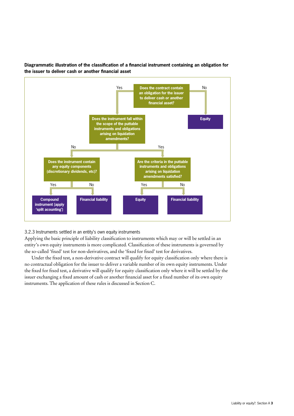

**Diagrammatic illustration of the classification of a financial instrument containing an obligation for the issuer to deliver cash or another financial asset**

## 3.2.3 Instruments settled in an entity's own equity instruments

Applying the basic principle of liability classification to instruments which may or will be settled in an entity's own equity instruments is more complicated. Classification of these instruments is governed by the so-called 'fixed' test for non-derivatives, and the 'fixed for fixed' test for derivatives.

Under the fixed test, a non-derivative contract will qualify for equity classification only where there is no contractual obligation for the issuer to deliver a variable number of its own equity instruments. Under the fixed for fixed test, a derivative will qualify for equity classification only where it will be settled by the issuer exchanging a fixed amount of cash or another financial asset for a fixed number of its own equity instruments. The application of these rules is discussed in Section C.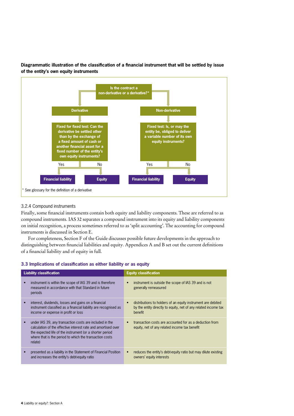

**Diagrammatic illustration of the classification of a financial instrument that will be settled by issue of the entity's own equity instruments**

## 3.2.4 Compound instruments

Finally, some financial instruments contain both equity and liability components. These are referred to as compound instruments. IAS 32 separates a compound instrument into its equity and liability components on initial recognition, a process sometimes referred to as 'split accounting'. The accounting for compound instruments is discussed in Section E.

For completeness, Section F of the Guide discusses possible future developments in the approach to distinguishing between financial liabilities and equity. Appendices A and B set out the current definitions of a financial liability and of equity in full.

### **3.3 Implications of classification as either liability or as equity**

| <b>Liability classification</b>                                                                                                                                                                                                                            | <b>Equity classification</b>                                                                                                               |  |  |
|------------------------------------------------------------------------------------------------------------------------------------------------------------------------------------------------------------------------------------------------------------|--------------------------------------------------------------------------------------------------------------------------------------------|--|--|
| instrument is within the scope of IAS 39 and is therefore<br>measured in accordance with that Standard in future<br>periods                                                                                                                                | instrument is outside the scope of IAS 39 and is not<br>$\bullet$<br>generally remeasured                                                  |  |  |
| interest, dividends, losses and gains on a financial<br>instrument classified as a financial liability are recognised as<br>income or expense in profit or loss                                                                                            | distributions to holders of an equity instrument are debited<br>by the entity directly to equity, net of any related income tax<br>benefit |  |  |
| under IAS 39, any transaction costs are included in the<br>calculation of the effective interest rate and amortised over<br>the expected life of the instrument (or a shorter period<br>where that is the period to which the transaction costs<br>relate) | transaction costs are accounted for as a deduction from<br>equity, net of any related income tax benefit                                   |  |  |
| presented as a liability in the Statement of Financial Position<br>and increases the entity's debt-equity ratio                                                                                                                                            | reduces the entity's debt-equity ratio but may dilute existing<br>$\bullet$<br>owners' equity interests                                    |  |  |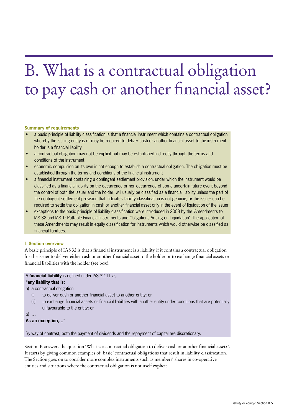## B. What is a contractual obligation to pay cash or another financial asset?

#### **Summary of requirements**

- a basic principle of liability classification is that a financial instrument which contains a contractual obligation whereby the issuing entity is or may be required to deliver cash or another financial asset to the instrument holder is a financial liability
- a contractual obligation may not be explicit but may be established indirectly through the terms and conditions of the instrument
- economic compulsion on its own is not enough to establish a contractual obligation. The obligation must be established through the terms and conditions of the financial instrument
- a financial instrument containing a contingent settlement provision, under which the instrument would be classified as a financial liability on the occurrence or non-occurrence of some uncertain future event beyond the control of both the issuer and the holder, will usually be classified as a financial liability unless the part of the contingent settlement provision that indicates liability classification is not genuine; or the issuer can be required to settle the obligation in cash or another financial asset only in the event of liquidation of the issuer
- exceptions to the basic principle of liability classification were introduced in 2008 by the 'Amendments to IAS 32 and IAS 1: Puttable Financial Instruments and Obligations Arising on Liquidation'. The application of these Amendments may result in equity classification for instruments which would otherwise be classified as financial liabilities.

## **1 Section overview**

A basic principle of IAS 32 is that a financial instrument is a liability if it contains a contractual obligation for the issuer to deliver either cash or another financial asset to the holder or to exchange financial assets or financial liabilities with the holder (see box).

## A **financial liability** is defined under IAS 32.11 as:

## **"any liability that is:**

- a) a contractual obligation:
	- (i) to deliver cash or another financial asset to another entity; or
	- (ii) to exchange financial assets or financial liabilities with another entity under conditions that are potentially unfavourable to the entity; or

b) …

```
 As an exception,…"
```
By way of contrast, both the payment of dividends and the repayment of capital are discretionary.

Section B answers the question 'What is a contractual obligation to deliver cash or another financial asset?'. It starts by giving common examples of 'basic' contractual obligations that result in liability classification. The Section goes on to consider more complex instruments such as members' shares in co-operative entities and situations where the contractual obligation is not itself explicit.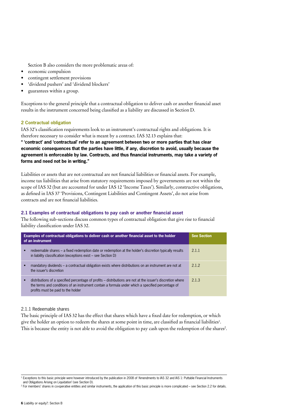Section B also considers the more problematic areas of:

- economic compulsion
- contingent settlement provisions
- 'dividend pushers' and 'dividend blockers'
- guarantees within a group.

Exceptions to the general principle that a contractual obligation to deliver cash or another financial asset results in the instrument concerned being classified as a liability are discussed in Section D.

#### **2 Contractual obligation**

IAS 32's classification requirements look to an instrument's contractual rights and obligations. It is therefore necessary to consider what is meant by a contract. IAS 32.13 explains that:

**" 'contract' and 'contractual' refer to an agreement between two or more parties that has clear economic consequences that the parties have little, if any, discretion to avoid, usually because the agreement is enforceable by law. Contracts, and thus financial instruments, may take a variety of forms and need not be in writing."**

Liabilities or assets that are not contractual are not financial liabilities or financial assets. For example, income tax liabilities that arise from statutory requirements imposed by governments are not within the scope of IAS 32 (but are accounted for under IAS 12 'Income Taxes'). Similarly, constructive obligations, as defined in IAS 37 'Provisions, Contingent Liabilities and Contingent Assets', do not arise from contracts and are not financial liabilities.

#### **2.1 Examples of contractual obligations to pay cash or another financial asset**

The following sub-sections discuss common types of contractual obligation that give rise to financial liability classification under IAS 32.

| Examples of contractual obligations to deliver cash or another financial asset to the holder<br>of an instrument |                                                                                                                                                                                                                                                        | <b>See Section</b> |
|------------------------------------------------------------------------------------------------------------------|--------------------------------------------------------------------------------------------------------------------------------------------------------------------------------------------------------------------------------------------------------|--------------------|
| $\bullet$                                                                                                        | redeemable shares – a fixed redemption date or redemption at the holder's discretion typically results<br>in liability classification (exceptions exist – see Section D)                                                                               | 2.1.1              |
|                                                                                                                  | mandatory dividends – a contractual obligation exists where distributions on an instrument are not at<br>the issuer's discretion                                                                                                                       | 2.1.2              |
|                                                                                                                  | distributions of a specified percentage of profits – distributions are not at the issuer's discretion where<br>the terms and conditions of an instrument contain a formula under which a specified percentage of<br>profits must be paid to the holder | 2.1.3              |

#### 2.1.1 Redeemable shares

The basic principle of IAS 32 has the effect that shares which have a fixed date for redemption, or which give the holder an option to redeem the shares at some point in time, are classified as financial liabilities<sup>1</sup>. This is because the entity is not able to avoid the obligation to pay cash upon the redemption of the shares<sup>2</sup>.

<sup>&</sup>lt;sup>1</sup> Exceptions to this basic principle were however introduced by the publication in 2008 of 'Amendments to IAS 32 and IAS 1: Puttable Financial Instruments and Obligations Arising on Liquidation' (see Section D).

<sup>&</sup>lt;sup>2</sup> For members' shares in co-operative entities and similar instruments, the application of this basic principle is more complicated – see Section 2.2 for details.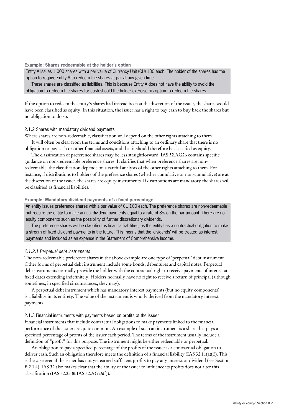#### **Example: Shares redeemable at the holder's option**

 Entity A issues 1,000 shares with a par value of Currency Unit (CU) 100 each. The holder of the shares has the option to require Entity A to redeem the shares at par at any given time.

These shares are classified as liabilities. This is because Entity A does not have the ability to avoid the obligation to redeem the shares for cash should the holder exercise his option to redeem the shares.

If the option to redeem the entity's shares had instead been at the discretion of the issuer, the shares would have been classified as equity. In this situation, the issuer has a right to pay cash to buy back the shares but no obligation to do so.

### 2.1.2 Shares with mandatory dividend payments

Where shares are non-redeemable, classification will depend on the other rights attaching to them. It will often be clear from the terms and conditions attaching to an ordinary share that there is no obligation to pay cash or other financial assets, and that it should therefore be classified as equity.

The classification of preference shares may be less straightforward. IAS 32.AG26 contains specific guidance on non-redeemable preference shares. It clarifies that when preference shares are nonredeemable, the classification depends on a careful analysis of the other rights attaching to them. For instance, if distributions to holders of the preference shares (whether cumulative or non-cumulative) are at the discretion of the issuer, the shares are equity instruments. If distributions are mandatory the shares will be classified as financial liabilities.

#### **Example: Mandatory dividend payments of a fixed percentage**

 An entity issues preference shares with a par value of CU 100 each. The preference shares are non-redeemable but require the entity to make annual dividend payments equal to a rate of 8% on the par amount. There are no equity components such as the possibility of further discretionary dividends.

The preference shares will be classified as financial liabilities, as the entity has a contractual obligation to make a stream of fixed dividend payments in the future. This means that the 'dividends' will be treated as interest payments and included as an expense in the Statement of Comprehensive Income.

### *2.1.2.1 Perpetual debt instruments*

The non-redeemable preference shares in the above example are one type of 'perpetual' debt instrument. Other forms of perpetual debt instrument include some bonds, debentures and capital notes. Perpetual debt instruments normally provide the holder with the contractual right to receive payments of interest at fixed dates extending indefinitely. Holders normally have no right to receive a return of principal (although sometimes, in specified circumstances, they may).

A perpetual debt instrument which has mandatory interest payments (but no equity components) is a liability in its entirety. The value of the instrument is wholly derived from the mandatory interest payments.

#### 2.1.3 Financial instruments with payments based on profits of the issuer

Financial instruments that include contractual obligations to make payments linked to the financial performance of the issuer are quite common. An example of such an instrument is a share that pays a specified percentage of profits of the issuer each period. The terms of the instrument usually include a definition of "profit" for this purpose. The instrument might be either redeemable or perpetual.

An obligation to pay a specified percentage of the profits of the issuer is a contractual obligation to deliver cash. Such an obligation therefore meets the definition of a financial liability (IAS 32.11(a)(i)). This is the case even if the issuer has not yet earned sufficient profits to pay any interest or dividend (see Section B.2.1.4). IAS 32 also makes clear that the ability of the issuer to influence its profits does not alter this classification (IAS 32.25 & IAS 32.AG26(f)).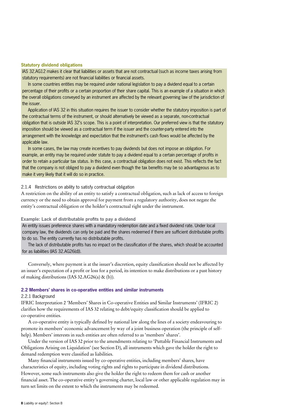#### **Statutory dividend obligations**

IAS 32.AG12 makes it clear that liabilities or assets that are not contractual (such as income taxes arising from statutory requirements) are not financial liabilities or financial assets.

In some countries entities may be required under national legislation to pay a dividend equal to a certain percentage of their profits or a certain proportion of their share capital. This is an example of a situation in which the overall obligations conveyed by an instrument are affected by the relevant governing law of the jurisdiction of the issuer.

Application of IAS 32 in this situation requires the issuer to consider whether the statutory imposition is part of the contractual terms of the instrument, or should alternatively be viewed as a separate, non-contractual obligation that is outside IAS 32's scope. This is a point of interpretation. Our preferred view is that the statutory imposition should be viewed as a contractual term if the issuer and the counter-party entered into the arrangement with the knowledge and expectation that the instrument's cash flows would be affected by the applicable law.

In some cases, the law may create incentives to pay dividends but does not impose an obligation. For example, an entity may be required under statute to pay a dividend equal to a certain percentage of profits in order to retain a particular tax status. In this case, a contractual obligation does not exist. This reflects the fact that the company is not obliged to pay a dividend even though the tax benefits may be so advantageous as to make it very likely that it will do so in practice.

#### 2.1.4 Restrictions on ability to satisfy contractual obligation

A restriction on the ability of an entity to satisfy a contractual obligation, such as lack of access to foreign currency or the need to obtain approval for payment from a regulatory authority, does not negate the entity's contractual obligation or the holder's contractual right under the instrument.

#### **Example: Lack of distributable profits to pay a dividend**

 An entity issues preference shares with a mandatory redemption date and a fixed dividend rate. Under local company law, the dividends can only be paid and the shares redeemed if there are sufficient distributable profits to do so. The entity currently has no distributable profits.

The lack of distributable profits has no impact on the classification of the shares, which should be accounted for as liabilities (IAS 32.AG26(d)).

Conversely, where payment is at the issuer's discretion, equity classification should not be affected by an issuer's expectation of a profit or loss for a period, its intention to make distributions or a past history of making distributions (IAS 32.AG26(a) & (b)).

#### **2.2 Members' shares in co-operative entities and similar instruments**

#### 2.2.1 Background

IFRIC Interpretation 2 'Members' Shares in Co-operative Entities and Similar Instruments' (IFRIC 2) clarifies how the requirements of IAS 32 relating to debt/equity classification should be applied to co-operative entities.

A co-operative entity is typically defined by national law along the lines of a society endeavouring to promote its members' economic advancement by way of a joint business operation (the principle of selfhelp). Members' interests in such entities are often referred to as 'members' shares'.

Under the version of IAS 32 prior to the amendments relating to 'Puttable Financial Instruments and Obligations Arising on Liquidation' (see Section D), all instruments which gave the holder the right to demand redemption were classified as liabilities.

Many financial instruments issued by co-operative entities, including members' shares, have characteristics of equity, including voting rights and rights to participate in dividend distributions. However, some such instruments also give the holder the right to redeem them for cash or another financial asset. The co-operative entity's governing charter, local law or other applicable regulation may in turn set limits on the extent to which the instruments may be redeemed.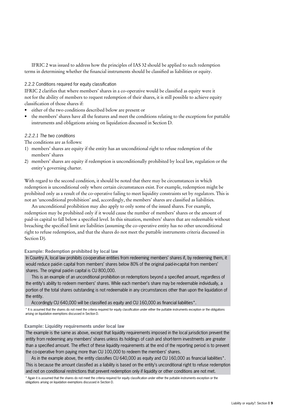IFRIC 2 was issued to address how the principles of IAS 32 should be applied to such redemption terms in determining whether the financial instruments should be classified as liabilities or equity.

## 2.2.2 Conditions required for equity classification

IFRIC 2 clarifies that where members' shares in a co-operative would be classified as equity were it not for the ability of members to request redemption of their shares, it is still possible to achieve equity classification of those shares if:

- either of the two conditions described below are present or
- the members' shares have all the features and meet the conditions relating to the exceptions for puttable instruments and obligations arising on liquidation discussed in Section D.

#### *2.2.2.1 The two conditions*

The conditions are as follows:

- 1) members' shares are equity if the entity has an unconditional right to refuse redemption of the members' shares
- 2) members' shares are equity if redemption is unconditionally prohibited by local law, regulation or the entity's governing charter.

With regard to the second condition, it should be noted that there may be circumstances in which redemption is unconditional only where certain circumstances exist. For example, redemption might be prohibited only as a result of the co-operative failing to meet liquidity constraints set by regulators. This is not an 'unconditional prohibition' and, accordingly, the members' shares are classified as liabilities.

An unconditional prohibition may also apply to only some of the issued shares. For example, redemption may be prohibited only if it would cause the number of members' shares or the amount of paid-in capital to fall below a specified level. In this situation, members' shares that are redeemable without breaching the specified limit are liabilities (assuming the co-operative entity has no other unconditional right to refuse redemption, and that the shares do not meet the puttable instruments criteria discussed in Section D).

#### **Example: Redemption prohibited by local law**

In Country A, local law prohibits co-operative entities from redeeming members' shares if, by redeeming them, it would reduce paid-in capital from members' shares below 80% of the original paid-in-capital from members' shares. The original paid-in capital is CU 800,000.

This is an example of an unconditional prohibition on redemptions beyond a specified amount, regardless of the entity's ability to redeem members' shares. While each member's share may be redeemable individually, a portion of the total shares outstanding is not redeemable in any circumstances other than upon the liquidation of the entity.

Accordingly CU 640,000 will be classified as equity and CU 160,000 as financial liabilities\*.

 \* It is assumed that the shares do not meet the criteria required for equity classification under either the puttable instruments exception or the obligations arising on liquidation exemptions discussed in Section D.

#### **Example: Liquidity requirements under local law**

 The example is the same as above, except that liquidity requirements imposed in the local jurisdiction prevent the entity from redeeming any members' shares unless its holdings of cash and short-term investments are greater than a specified amount. The effect of these liquidity requirements at the end of the reporting period is to prevent the co-operative from paying more than CU 100,000 to redeem the members' shares.

As in the example above, the entity classifies CU 640,000 as equity and CU 160,000 as financial liabilities\*. This is because the amount classified as a liability is based on the entity's unconditional right to refuse redemption and not on conditional restrictions that prevent redemption only if liquidity or other conditions are not met.

 \* Again it is assumed that the shares do not meet the criteria required for equity classification under either the puttable instruments exception or the obligations arising on liquidation exemptions discussed in Section D.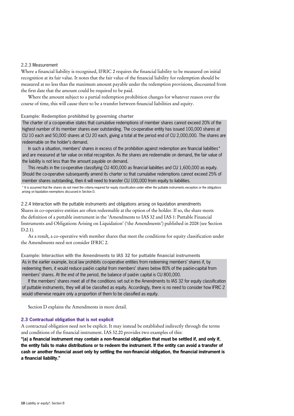#### 2.2.3 Measurement

Where a financial liability is recognised, IFRIC 2 requires the financial liability to be measured on initial recognition at its fair value. It notes that the fair value of the financial liability for redemption should be measured at no less than the maximum amount payable under the redemption provisions, discounted from the first date that the amount could be required to be paid.

Where the amount subject to a partial redemption prohibition changes for whatever reason over the course of time, this will cause there to be a transfer between financial liabilities and equity.

#### **Example: Redemption prohibited by governing charter**

 The charter of a co-operative states that cumulative redemptions of member shares cannot exceed 20% of the highest number of its member shares ever outstanding. The co-operative entity has issued 100,000 shares at CU 10 each and 50,000 shares at CU 20 each, giving a total at the period end of CU 2,000,000. The shares are redeemable on the holder's demand.

In such a situation, members' shares in excess of the prohibition against redemption are financial liabilities\* and are measured at fair value on initial recognition. As the shares are redeemable on demand, the fair value of the liability is not less than the amount payable on demand.

This results in the co-operative classifying CU 400,000 as financial liabilities and CU 1,600,000 as equity. Should the co-operative subsequently amend its charter so that cumulative redemptions cannot exceed 25% of member shares outstanding, then it will need to transfer CU 100,000 from equity to liabilities.

 \* It is assumed that the shares do not meet the criteria required for equity classification under either the puttable instruments exception or the obligations arising on liquidation exemptions discussed in Section D.

2.2.4 Interaction with the puttable instruments and obligations arising on liquidation amendments Shares in co-operative entities are often redeemable at the option of the holder. If so, the share meets the definition of a puttable instrument in the 'Amendments to IAS 32 and IAS 1: Puttable Financial Instruments and Obligations Arising on Liquidation' ('the Amendments') published in 2008 (see Section D.2.1).

As a result, a co-operative with member shares that meet the conditions for equity classification under the Amendments need not consider IFRIC 2.

**Example: Interaction with the Amendments to IAS 32 for puttable financial instruments**  As in the earlier example, local law prohibits co-operative entities from redeeming members' shares if, by redeeming them, it would reduce paid-in capital from members' shares below 80% of the paid-in-capital from members' shares. At the end of the period, the balance of paid-in capital is CU 800,000.

If the members' shares meet all of the conditions set out in the Amendments to IAS 32 for equity classification of puttable instruments, they will all be classified as equity. Accordingly, there is no need to consider how IFRIC 2 would otherwise require only a proportion of them to be classified as equity.

Section D explains the Amendments in more detail.

#### **2.3 Contractual obligation that is not explicit**

A contractual obligation need not be explicit. It may instead be established indirectly through the terms and conditions of the financial instrument. IAS 32.20 provides two examples of this:

**"(a) a financial instrument may contain a non-financial obligation that must be settled if, and only if, the entity fails to make distributions or to redeem the instrument. If the entity can avoid a transfer of cash or another financial asset only by settling the non-financial obligation, the financial instrument is a financial liability."**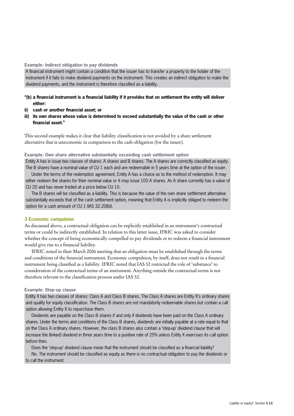#### **Example: Indirect obligation to pay dividends**

 A financial instrument might contain a condition that the issuer has to transfer a property to the holder of the instrument if it fails to make dividend payments on the instrument. This creates an indirect obligation to make the dividend payments, and the instrument is therefore classified as a liability.

- **"(b) a financial instrument is a financial liability if it provides that on settlement the entity will deliver either:**
- **ii) cash or another financial asset; or**
- **iii) its own shares whose value is determined to exceed substantially the value of the cash or other financial asset."**

This second example makes it clear that liability classification is not avoided by a share settlement alternative that is uneconomic in comparison to the cash obligation (for the issuer).

#### **Example: Own share alternative substantially exceeding cash settlement option**

Entity A has in issue two classes of shares: A shares and B shares. The A shares are correctly classified as equity. The B shares have a nominal value of CU 1 each and are redeemable in 5 years time at the option of the issuer.

Under the terms of the redemption agreement, Entity A has a choice as to the method of redemption. It may either redeem the shares for their nominal value or it may issue 100 A shares. An A share currently has a value of CU 20 and has never traded at a price below CU 10.

The B shares will be classified as a liability. This is because the value of the own share settlement alternative substantially exceeds that of the cash settlement option, meaning that Entity A is implicitly obliged to redeem the option for a cash amount of CU 1 (IAS 32.20(b)).

#### **3 Economic compulsion**

As discussed above, a contractual obligation can be explicitly established in an instrument's contractual terms or could be indirectly established. In relation to this latter issue, IFRIC was asked to consider whether the concept of being economically compelled to pay dividends or to redeem a financial instrument would give rise to a financial liability.

IFRIC noted in their March 2006 meeting that an obligation must be established through the terms and conditions of the financial instrument. Economic compulsion, by itself, does not result in a financial instrument being classified as a liability. IFRIC noted that IAS 32 restricted the role of 'substance' to consideration of the contractual terms of an instrument. Anything outside the contractual terms is not therefore relevant to the classification process under IAS 32.

#### **Example: Step-up clause**

 Entity X has two classes of shares: Class A and Class B shares. The Class A shares are Entity X's ordinary shares and qualify for equity classification. The Class B shares are not mandatorily redeemable shares but contain a call option allowing Entity X to repurchase them.

Dividends are payable on the Class B shares if and only if dividends have been paid on the Class A ordinary shares. Under the terms and conditions of the Class B shares, dividends are initially payable at a rate equal to that on the Class A ordinary shares. However, the class B shares also contain a 'step-up' dividend clause that will increase the (linked) dividend in three years time to a punitive rate of 25% unless Entity X exercises its call option before then.

Does the 'step-up' dividend clause mean that the instrument should be classified as a financial liability? No. The instrument should be classified as equity as there is no contractual obligation to pay the dividends or to call the instrument.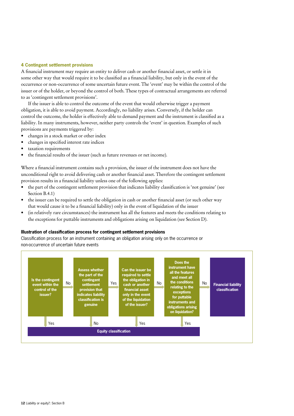#### **4 Contingent settlement provisions**

A financial instrument may require an entity to deliver cash or another financial asset, or settle it in some other way that would require it to be classified as a financial liability, but only in the event of the occurrence or non-occurrence of some uncertain future event. The 'event' may be within the control of the issuer or of the holder, or beyond the control of both. These types of contractual arrangements are referred to as 'contingent settlement provisions'.

If the issuer is able to control the outcome of the event that would otherwise trigger a payment obligation, it is able to avoid payment. Accordingly, no liability arises. Conversely, if the holder can control the outcome, the holder is effectively able to demand payment and the instrument is classified as a liability. In many instruments, however, neither party controls the 'event' in question. Examples of such provisions are payments triggered by:

- changes in a stock market or other index
- changes in specified interest rate indices
- taxation requirements
- the financial results of the issuer (such as future revenues or net income).

Where a financial instrument contains such a provision, the issuer of the instrument does not have the unconditional right to avoid delivering cash or another financial asset. Therefore the contingent settlement provision results in a financial liability unless one of the following applies:

- the part of the contingent settlement provision that indicates liability classification is 'not genuine' (see Section B.4.1)
- the issuer can be required to settle the obligation in cash or another financial asset (or such other way that would cause it to be a financial liability) only in the event of liquidation of the issuer
- (in relatively rare circumstances) the instrument has all the features and meets the conditions relating to the exceptions for puttable instruments and obligations arising on liquidation (see Section D).

#### **Illustration of classification process for contingent settlement provisions**

Classification process for an instrument containing an obligation arising only on the occurrence or non-occurrence of uncertain future events

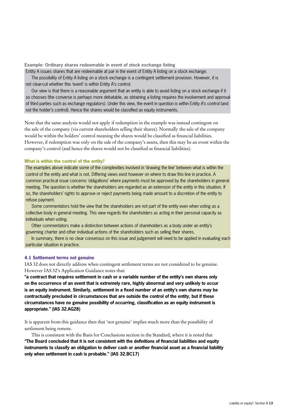**Example: Ordinary shares redeemable in event of stock exchange listing**

Entity A issues shares that are redeemable at par in the event of Entity A listing on a stock exchange.

The possibility of Entity A listing on a stock exchange is a contingent settlement provision. However, it is not clear-cut whether this 'event' is within Entity A's control.

Our view is that there is a reasonable argument that an entity is able to avoid listing on a stock exchange if it so chooses (the converse is perhaps more debatable, as obtaining a listing requires the involvement and approval of third parties such as exchange regulators). Under this view, the event in question is within Entity A's control (and not the holder's control). Hence the shares would be classified as equity instruments.

Note that the same analysis would not apply if redemption in the example was instead contingent on the sale of the company (via current shareholders selling their shares). Normally the sale of the company would be within the holders' control meaning the shares would be classified as financial liabilities. However, if redemption was only on the sale of the company's assets, then this may be an event within the company's control (and hence the shares would not be classified as financial liabilities).

#### **What is within the control of the entity?**

The examples above indicate some of the complexities involved in 'drawing the line' between what is within the control of the entity and what is not. Differing views exist however on where to draw this line in practice. A common practical issue concerns 'obligations' where payments must be approved by the shareholders in general meeting. The question is whether the shareholders are regarded as an extension of the entity in this situation. If so, the shareholders' rights to approve or reject payments being made amount to a discretion of the entity to refuse payment.

Some commentators hold the view that the shareholders are not part of the entity even when voting as a collective body in general meeting. This view regards the shareholders as acting in their personal capacity as individuals when voting.

Other commentators make a distinction between actions of shareholders as a body under an entity's governing charter and other individual actions of the shareholders such as selling their shares.

In summary, there is no clear consensus on this issue and judgement will need to be applied in evaluating each particular situation in practice.

#### **4.1 Settlement terms not genuine**

IAS 32 does not directly address when contingent settlement terms are not considered to be genuine. However IAS 32's Application Guidance notes that:

**"a contract that requires settlement in cash or a variable number of the entity's own shares only on the occurrence of an event that is extremely rare, highly abnormal and very unlikely to occur is an equity instrument. Similarly, settlement in a fixed number of an entity's own shares may be contractually precluded in circumstances that are outside the control of the entity, but if these circumstances have no genuine possibility of occurring, classification as an equity instrument is appropriate." (IAS 32.AG28)**

It is apparent from this guidance then that 'not genuine' implies much more than the possibility of settlement being remote.

This is consistent with the Basis for Conclusions section in the Standard, where it is noted that **"The Board concluded that it is not consistent with the definitions of financial liabilities and equity instruments to classify an obligation to deliver cash or another financial asset as a financial liability only when settlement in cash is probable." (IAS 32.BC17)**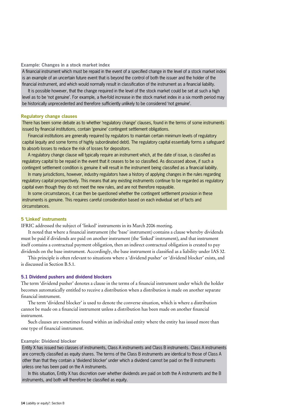#### **Example: Changes in a stock market index**

 A financial instrument which must be repaid in the event of a specified change in the level of a stock market index is an example of an uncertain future event that is beyond the control of both the issuer and the holder of the financial instrument, and which would normally result in classification of the instrument as a financial liability.

It is possible however, that the change required in the level of the stock market could be set at such a high level as to be 'not genuine'. For example, a five-fold increase in the stock market index in a six month period may be historically unprecedented and therefore sufficiently unlikely to be considered 'not genuine'.

#### **Regulatory change clauses**

There has been some debate as to whether 'regulatory change' clauses, found in the terms of some instruments issued by financial institutions, contain 'genuine' contingent settlement obligations.

Financial institutions are generally required by regulators to maintain certain minimum levels of regulatory capital (equity and some forms of highly subordinated debt). The regulatory capital essentially forms a safeguard to absorb losses to reduce the risk of losses for depositors.

A regulatory change clause will typically require an instrument which, at the date of issue, is classified as regulatory capital to be repaid in the event that it ceases to be so classified. As discussed above, if such a contingent settlement condition is genuine it will result in the instrument being classified as a financial liability.

In many jurisdictions, however, industry regulators have a history of applying changes in the rules regarding regulatory capital prospectively. This means that any existing instruments continue to be regarded as regulatory capital even though they do not meet the new rules, and are not therefore repayable.

In some circumstances, it can then be questioned whether the contingent settlement provision in these instruments is genuine. This requires careful consideration based on each individual set of facts and circumstances.

#### **5 'Linked' instruments**

IFRIC addressed the subject of 'linked' instruments in its March 2006 meeting.

It noted that where a financial instrument (the 'base' instrument) contains a clause whereby dividends must be paid if dividends are paid on another instrument (the 'linked' instrument), and that instrument itself contains a contractual payment obligation, then an indirect contractual obligation is created to pay dividends on the base instrument. Accordingly, the base instrument is classified as a liability under IAS 32.

This principle is often relevant to situations where a 'dividend pusher' or 'dividend blocker' exists, and is discussed in Section B.5.1.

#### **5.1 Dividend pushers and dividend blockers**

The term 'dividend pusher' denotes a clause in the terms of a financial instrument under which the holder becomes automatically entitled to receive a distribution when a distribution is made on another separate financial instrument.

The term 'dividend blocker' is used to denote the converse situation, which is where a distribution cannot be made on a financial instrument unless a distribution has been made on another financial instrument.

Such clauses are sometimes found within an individual entity where the entity has issued more than one type of financial instrument.

#### **Example: Dividend blocker**

 Entity X has issued two classes of instruments, Class A instruments and Class B instruments. Class A instruments are correctly classified as equity shares. The terms of the Class B instruments are identical to those of Class A other than that they contain a 'dividend blocker' under which a dividend cannot be paid on the B instruments unless one has been paid on the A instruments.

In this situation, Entity X has discretion over whether dividends are paid on both the A instruments and the B instruments, and both will therefore be classified as equity.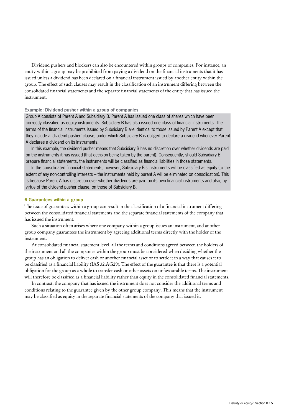Dividend pushers and blockers can also be encountered within groups of companies. For instance, an entity within a group may be prohibited from paying a dividend on the financial instruments that it has issued unless a dividend has been declared on a financial instrument issued by another entity within the group. The effect of such clauses may result in the classification of an instrument differing between the consolidated financial statements and the separate financial statements of the entity that has issued the instrument.

#### **Example: Dividend pusher within a group of companies**

 Group A consists of Parent A and Subsidiary B. Parent A has issued one class of shares which have been correctly classified as equity instruments. Subsidiary B has also issued one class of financial instruments. The terms of the financial instruments issued by Subsidiary B are identical to those issued by Parent A except that they include a 'dividend pusher' clause, under which Subsidiary B is obliged to declare a dividend whenever Parent A declares a dividend on its instruments.

In this example, the dividend pusher means that Subsidiary B has no discretion over whether dividends are paid on the instruments it has issued (that decision being taken by the parent). Consequently, should Subsidiary B prepare financial statements, the instruments will be classified as financial liabilities in those statements.

In the consolidated financial statements, however, Subsidiary B's instruments will be classified as equity (to the extent of any non-controlling interests – the instruments held by parent A will be eliminated on consolidation). This is because Parent A has discretion over whether dividends are paid on its own financial instruments and also, by virtue of the dividend pusher clause, on those of Subsidiary B.

## **6 Guarantees within a group**

The issue of guarantees within a group can result in the classification of a financial instrument differing between the consolidated financial statements and the separate financial statements of the company that has issued the instrument.

Such a situation often arises where one company within a group issues an instrument, and another group company guarantees the instrument by agreeing additional terms directly with the holder of the instrument.

At consolidated financial statement level, all the terms and conditions agreed between the holders of the instrument and all the companies within the group must be considered when deciding whether the group has an obligation to deliver cash or another financial asset or to settle it in a way that causes it to be classified as a financial liability (IAS 32.AG29). The effect of the guarantee is that there is a potential obligation for the group as a whole to transfer cash or other assets on unfavourable terms. The instrument will therefore be classified as a financial liability rather than equity in the consolidated financial statements.

In contrast, the company that has issued the instrument does not consider the additional terms and conditions relating to the guarantee given by the other group company. This means that the instrument may be classified as equity in the separate financial statements of the company that issued it.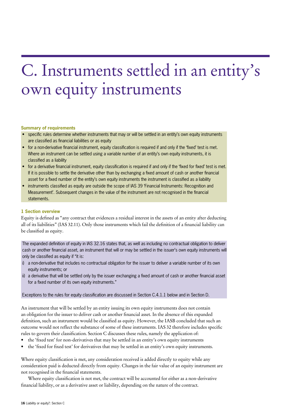## C. Instruments settled in an entity's own equity instruments

#### **Summary of requirements**

- specific rules determine whether instruments that may or will be settled in an entity's own equity instruments are classified as financial liabilities or as equity
- for a non-derivative financial instrument, equity classification is required if and only if the 'fixed' test is met. Where an instrument can be settled using a variable number of an entity's own equity instruments, it is classified as a liability
- for a derivative financial instrument, equity classification is required if and only if the 'fixed for fixed' test is met. If it is possible to settle the derivative other than by exchanging a fixed amount of cash or another financial asset for a fixed number of the entity's own equity instruments the instrument is classified as a liability
- instruments classified as equity are outside the scope of IAS 39 'Financial Instruments: Recognition and Measurement'. Subsequent changes in the value of the instrument are not recognised in the financial statements.

## **1 Section overview**

Equity is defined as "any contract that evidences a residual interest in the assets of an entity after deducting all of its liabilities" (IAS 32.11). Only those instruments which fail the definition of a financial liability can be classified as equity.

 The expanded definition of equity in IAS 32.16 states that, as well as including no contractual obligation to deliver cash or another financial asset, an instrument that will or may be settled in the issuer's own equity instruments will only be classified as equity if "it is:

- i) a non-derivative that includes no contractual obligation for the issuer to deliver a variable number of its own equity instruments; or
- ii) a derivative that will be settled only by the issuer exchanging a fixed amount of cash or another financial asset for a fixed number of its own equity instruments."

#### Exceptions to the rules for equity classification are discussed in Section C.4.1.1 below and in Section D.

An instrument that will be settled by an entity issuing its own equity instruments does not contain an obligation for the issuer to deliver cash or another financial asset. In the absence of this expanded definition, such an instrument would be classified as equity. However, the IASB concluded that such an outcome would not reflect the substance of some of these instruments. IAS 32 therefore includes specific rules to govern their classification. Section C discusses these rules, namely the application of:

- the 'fixed test' for non-derivatives that may be settled in an entity's own equity instruments
- the 'fixed for fixed test' for derivatives that may be settled in an entity's own equity instruments.

Where equity classification is met, any consideration received is added directly to equity while any consideration paid is deducted directly from equity. Changes in the fair value of an equity instrument are not recognised in the financial statements.

Where equity classification is not met, the contract will be accounted for either as a non-derivative financial liability, or as a derivative asset or liability, depending on the nature of the contract.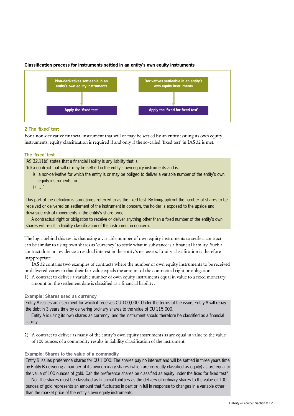### **Classification process for instruments settled in an entity's own equity instruments**



#### **2 The 'fixed' test**

For a non-derivative financial instrument that will or may be settled by an entity issuing its own equity instruments, equity classification is required if and only if the so-called 'fixed test' in IAS 32 is met.

#### **The 'fixed' test**

IAS 32.11(d) states that a financial liability is any liability that is:

"(d) a contract that will or may be settled in the entity's own equity instruments and is:

- i) a non-derivative for which the entity is or may be obliged to deliver a variable number of the entity's own equity instruments; or
- ii) …"

 This part of the definition is sometimes referred to as the fixed test. By fixing upfront the number of shares to be received or delivered on settlement of the instrument in concern, the holder is exposed to the upside and downside risk of movements in the entity's share price.

A contractual right or obligation to receive or deliver anything other than a fixed number of the entity's own shares will result in liability classification of the instrument in concern.

The logic behind this test is that using a variable number of own equity instruments to settle a contract can be similar to using own shares as 'currency' to settle what in substance is a financial liability. Such a contract does not evidence a residual interest in the entity's net assets. Equity classification is therefore inappropriate.

IAS 32 contains two examples of contracts where the number of own equity instruments to be received or delivered varies so that their fair value equals the amount of the contractual right or obligation:

1) A contract to deliver a variable number of own equity instruments equal in value to a fixed monetary amount on the settlement date is classified as a financial liability.

### **Example: Shares used as currency**

 Entity A issues an instrument for which it receives CU 100,000. Under the terms of the issue, Entity A will repay the debt in 3 years time by delivering ordinary shares to the value of CU 115,000.

Entity A is using its own shares as currency, and the instrument should therefore be classified as a financial liability.

2) A contract to deliver as many of the entity's own equity instruments as are equal in value to the value of 100 ounces of a commodity results in liability classification of the instrument.

## **Example: Shares to the value of a commodity**

 Entity B issues preference shares for CU 1,000. The shares pay no interest and will be settled in three years time by Entity B delivering a number of its own ordinary shares (which are correctly classified as equity) as are equal to the value of 100 ounces of gold. Can the preference shares be classified as equity under the fixed for fixed test?

No. The shares must be classified as financial liabilities as the delivery of ordinary shares to the value of 100 ounces of gold represents an amount that fluctuates in part or in full in response to changes in a variable other than the market price of the entity's own equity instruments.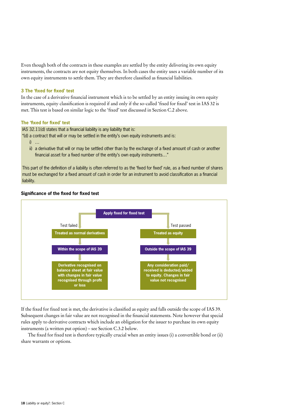Even though both of the contracts in these examples are settled by the entity delivering its own equity instruments, the contracts are not equity themselves. In both cases the entity uses a variable number of its own equity instruments to settle them. They are therefore classified as financial liabilities.

### **3 The 'fixed for fixed' test**

In the case of a derivative financial instrument which is to be settled by an entity issuing its own equity instruments, equity classification is required if and only if the so-called 'fixed for fixed' test in IAS 32 is met. This test is based on similar logic to the 'fixed' test discussed in Section C.2 above.

#### **The 'fixed for fixed' test**

IAS 32.11(d) states that a financial liability is any liability that is:

- "(d) a contract that will or may be settled in the entity's own equity instruments and is:
	- i) …
	- ii) a derivative that will or may be settled other than by the exchange of a fixed amount of cash or another financial asset for a fixed number of the entity's own equity instruments…"

 This part of the definition of a liability is often referred to as the 'fixed for fixed' rule, as a fixed number of shares must be exchanged for a fixed amount of cash in order for an instrument to avoid classification as a financial liability.

## **Significance of the fixed for fixed test**



If the fixed for fixed test is met, the derivative is classified as equity and falls outside the scope of IAS 39. Subsequent changes in fair value are not recognised in the financial statements. Note however that special rules apply to derivative contracts which include an obligation for the issuer to purchase its own equity instruments (a written put option) – see Section C.3.2 below.

The fixed for fixed test is therefore typically crucial when an entity issues (i) a convertible bond or (ii) share warrants or options.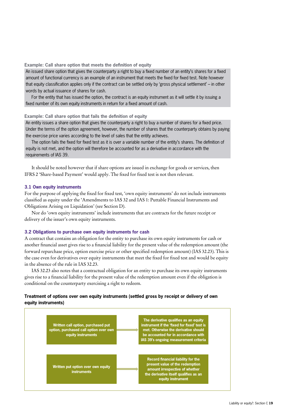**Example: Call share option that meets the definition of equity**

 An issued share option that gives the counterparty a right to buy a fixed number of an entity's shares for a fixed amount of functional currency is an example of an instrument that meets the fixed for fixed test. Note however that equity classification applies only if the contract can be settled only by 'gross physical settlement' – in other words by actual issuance of shares for cash.

For the entity that has issued the option, the contract is an equity instrument as it will settle it by issuing a fixed number of its own equity instruments in return for a fixed amount of cash.

**Example: Call share option that fails the definition of equity**

 An entity issues a share option that gives the counterparty a right to buy a number of shares for a fixed price. Under the terms of the option agreement, however, the number of shares that the counterparty obtains by paying the exercise price varies according to the level of sales that the entity achieves.

The option fails the fixed for fixed test as it is over a variable number of the entity's shares. The definition of equity is not met, and the option will therefore be accounted for as a derivative in accordance with the requirements of IAS 39.

It should be noted however that if share options are issued in exchange for goods or services, then IFRS 2 'Share-based Payment' would apply. The fixed for fixed test is not then relevant.

#### **3.1 Own equity instruments**

For the purpose of applying the fixed for fixed test, 'own equity instruments' do not include instruments classified as equity under the 'Amendments to IAS 32 and IAS 1: Puttable Financial Instruments and Obligations Arising on Liquidation' (see Section D).

Nor do 'own equity instruments' include instruments that are contracts for the future receipt or delivery of the issuer's own equity instruments.

#### **3.2 Obligations to purchase own equity instruments for cash**

A contract that contains an obligation for the entity to purchase its own equity instruments for cash or another financial asset gives rise to a financial liability for the present value of the redemption amount (the forward repurchase price, option exercise price or other specified redemption amount) (IAS 32.23). This is the case even for derivatives over equity instruments that meet the fixed for fixed test and would be equity in the absence of the rule in IAS 32.23.

IAS 32.23 also notes that a contractual obligation for an entity to purchase its own equity instruments gives rise to a financial liability for the present value of the redemption amount even if the obligation is conditional on the counterparty exercising a right to redeem.

## **Treatment of options over own equity instruments (settled gross by receipt or delivery of own equity instruments)**

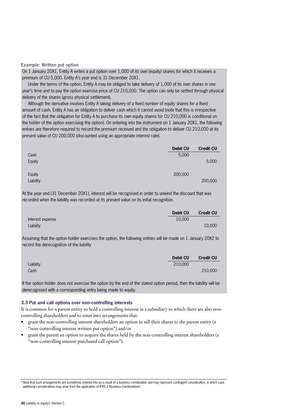#### **Example: Written put option**

 On 1 January 20X1, Entity A writes a put option over 1,000 of its own (equity) shares for which it receives a premium of CU 5,000. Entity A's year end is 31 December 20X1.

Under the terms of the option, Entity A may be obliged to take delivery of 1,000 of its own shares in one year's time and to pay the option exercise price of CU 210,000. The option can only be settled through physical delivery of the shares (gross physical settlement).

Although the derivative involves Entity A taking delivery of a fixed number of equity shares for a fixed amount of cash, Entity A has an obligation to deliver cash which it cannot avoid (note that this is irrespective of the fact that the obligation for Entity A to purchase its own equity shares for CU 210,000 is conditional on the holder of the option exercising the option). On entering into the instrument on 1 January 20X1, the following entries are therefore required to record the premium received and the obligation to deliver CU 210,000 at its present value of CU 200,000 (discounted using an appropriate interest rate).

|           | <b>Debit CU</b> | <b>Credit CU</b> |
|-----------|-----------------|------------------|
| Cash      | 5,000           |                  |
| Equity    |                 | 5,000            |
| Equity    | 200,000         |                  |
| Liability |                 | 200,000          |

 At the year end (31 December 20X1), interest will be recognised in order to unwind the discount that was recorded when the liability was recorded at its present value on its initial recognition.

|                  | <b>Debit CU</b> | <b>Credit CU</b> |
|------------------|-----------------|------------------|
| Interest expense | 10,000          |                  |
| Liability        |                 | 10,000           |

 Assuming that the option holder exercises the option, the following entries will be made on 1 January 20X2 to record the derecognition of the liability

|           | <b>Debit CU</b> | <b>Credit CU</b> |
|-----------|-----------------|------------------|
| Liability | 210,000         |                  |
| Cash      |                 | 210,000          |

 If the option holder does not exercise the option by the end of the stated option period, then the liability will be derecognised with a corresponding entry being made to equity.

#### **3.3 Put and call options over non-controlling interests**

It is common for a parent entity to hold a controlling interest in a subsidiary in which there are also noncontrolling shareholders and to enter into arrangements that:

- grant the non-controlling interest shareholders an option to sell their shares to the parent entity (a "non-controlling interest written put option") and/or
- grant the parent an option to acquire the shares held by the non-controlling interest shareholders (a "non-controlling interest purchased call option").

<sup>&</sup>lt;sup>3</sup> Note that such arrangements are sometimes entered into as a result of a business combination and may represent contingent consideration, in which case additional considerations may arise from the application of IFRS 3 'Business Combinations'.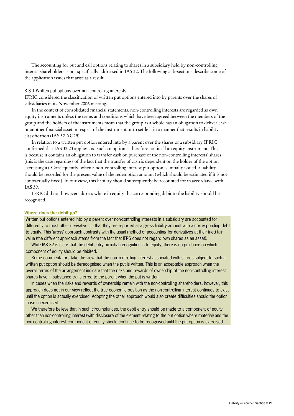The accounting for put and call options relating to shares in a subsidiary held by non-controlling interest shareholders is not specifically addressed in IAS 32. The following sub-sections describe some of the application issues that arise as a result.

#### 3.3.1 Written put options over non-controlling interests

IFRIC considered the classification of written put options entered into by parents over the shares of subsidiaries in its November 2006 meeting.

In the context of consolidated financial statements, non-controlling interests are regarded as own equity instruments unless the terms and conditions which have been agreed between the members of the group and the holders of the instruments mean that the group as a whole has an obligation to deliver cash or another financial asset in respect of the instrument or to settle it in a manner that results in liability classification (IAS 32.AG29).

In relation to a written put option entered into by a parent over the shares of a subsidiary IFRIC confirmed that IAS 32.23 applies and such an option is therefore not itself an equity instrument. This is because it contains an obligation to transfer cash on purchase of the non-controlling interests' shares (this is the case regardless of the fact that the transfer of cash is dependent on the holder of the option exercising it). Consequently, when a non-controlling interest put option is initially issued, a liability should be recorded for the present value of the redemption amount (which should be estimated if it is not contractually fixed). In our view, this liability should subsequently be accounted for in accordance with IAS 39.

IFRIC did not however address where in equity the corresponding debit to the liability should be recognised.

#### **Where does the debit go?**

Written put options entered into by a parent over non-controlling interests in a subsidiary are accounted for differently to most other derivatives in that they are reported at a gross liability amount with a corresponding debit to equity. This 'gross' approach contrasts with the usual method of accounting for derivatives at their (net) fair value (the different approach stems from the fact that IFRS does not regard own shares as an asset).

While IAS 32 is clear that the debit entry on initial recognition is to equity, there is no guidance on which component of equity should be debited.

Some commentators take the view that the non-controlling interest associated with shares subject to such a written put option should be derecognised when the put is written. This is an acceptable approach when the overall terms of the arrangement indicate that the risks and rewards of ownership of the non-controlling interest shares have in substance transferred to the parent when the put is written.

In cases when the risks and rewards of ownership remain with the non-controlling shareholders, however, this approach does not in our view reflect the true economic position as the non-controlling interest continues to exist until the option is actually exercised. Adopting the other approach would also create difficulties should the option lapse unexercised.

We therefore believe that in such circumstances, the debit entry should be made to a component of equity other than non-controlling interest (with disclosure of the element relating to the put option where material) and the non-controlling interest component of equity should continue to be recognised until the put option is exercised.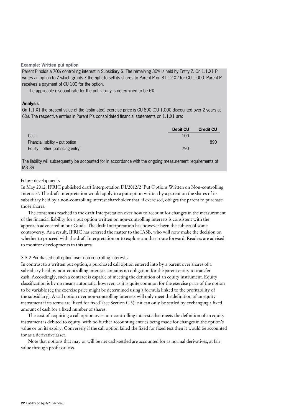#### **Example: Written put option**

 Parent P holds a 70% controlling interest in Subsidiary S. The remaining 30% is held by Entity Z. On 1.1.X1 P writes an option to Z which grants Z the right to sell its shares to Parent P on 31.12.X2 for CU 1,000. Parent P receives a payment of CU 100 for the option.

The applicable discount rate for the put liability is determined to be 6%.

#### **Analysis**

 On 1.1.X1 the present value of the (estimated) exercise price is CU 890 (CU 1,000 discounted over 2 years at 6%). The respective entries in Parent P's consolidated financial statements on 1.1.X1 are:

|                                  | Debit CU | <b>Credit CU</b> |
|----------------------------------|----------|------------------|
| Cash                             | 100      |                  |
| Financial liability – put option |          |                  |
| Equity – other (balancing entry) | 790      |                  |
|                                  |          |                  |

 The liability will subsequently be accounted for in accordance with the ongoing measurement requirements of IAS 39.

### Future developments

In May 2012, IFRIC published draft Interpretation DI/2012/2 'Put Options Written on Non-controlling Interests'. The draft Interpretation would apply to a put option written by a parent on the shares of its subsidiary held by a non-controlling interest shareholder that, if exercised, obliges the parent to purchase those shares.

The consensus reached in the draft Interpretation over how to account for changes in the measurement of the financial liability for a put option written on non-controlling interests is consistent with the approach advocated in our Guide. The draft Interpretation has however been the subject of some controversy. As a result, IFRIC has referred the matter to the IASB, who will now make the decision on whether to proceed with the draft Interpretation or to explore another route forward. Readers are advised to monitor developments in this area.

### 3.3.2 Purchased call option over non-controlling interests

In contrast to a written put option, a purchased call option entered into by a parent over shares of a subsidiary held by non-controlling interests contains no obligation for the parent entity to transfer cash. Accordingly, such a contract is capable of meeting the definition of an equity instrument. Equity classification is by no means automatic, however, as it is quite common for the exercise price of the option to be variable (eg the exercise price might be determined using a formula linked to the profitability of the subsidiary). A call option over non-controlling interests will only meet the definition of an equity instrument if its terms are 'fixed for fixed' (see Section C.3) ie it can only be settled by exchanging a fixed amount of cash for a fixed number of shares.

The cost of acquiring a call option over non-controlling interests that meets the definition of an equity instrument is debited to equity, with no further accounting entries being made for changes in the option's value or on its expiry. Conversely if the call option failed the fixed for fixed test then it would be accounted for as a derivative asset.

Note that options that may or will be net cash-settled are accounted for as normal derivatives, at fair value through profit or loss.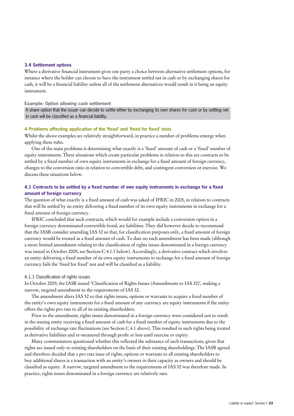#### **3.4 Settlement options**

Where a derivative financial instrument gives one party a choice between alternative settlement options, for instance where the holder can choose to have the instrument settled net in cash or by exchanging shares for cash, it will be a financial liability unless all of the settlement alternatives would result in it being an equity instrument.

#### **Example: Option allowing cash settlement**

 A share option that the issuer can decide to settle either by exchanging its own shares for cash or by settling net in cash will be classified as a financial liability.

#### **4 Problems affecting application of the 'fixed' and 'fixed for fixed' tests**

Whilst the above examples are relatively straightforward, in practice a number of problems emerge when applying these rules.

One of the main problems is determining what exactly is a 'fixed' amount of cash or a 'fixed' number of equity instruments. Three situations which create particular problems in relation to this are contracts to be settled by a fixed number of own equity instruments in exchange for a fixed amount of foreign currency, changes to the conversion ratio in relation to convertible debt, and contingent conversion or exercise. We discuss these situations below.

## **4.1 Contracts to be settled by a fixed number of own equity instruments in exchange for a fixed amount of foreign currency**

The question of what exactly is a fixed amount of cash was asked of IFRIC in 2005, in relation to contracts that will be settled by an entity delivering a fixed number of its own equity instruments in exchange for a fixed amount of foreign currency.

IFRIC concluded that such contracts, which would for example include a conversion option in a foreign currency denominated convertible bond, are liabilities. They did however decide to recommend that the IASB consider amending IAS 32 so that, for classification purposes only, a fixed amount of foreign currency would be treated as a fixed amount of cash. To date no such amendment has been made (although a more limited amendment relating to the classification of rights issues denominated in a foreign currency was issued in October 2009, see Section C.4.1.1 below). Accordingly, a derivative contract which involves an entity delivering a fixed number of its own equity instruments in exchange for a fixed amount of foreign currency fails the 'fixed for fixed' test and will be classified as a liability.

#### 4.1.1 Classification of rights issues

In October 2009, the IASB issued 'Classification of Rights Issues (Amendments to IAS 32)', making a narrow, targeted amendment to the requirements of IAS 32.

The amendment alters IAS 32 so that rights issues, options or warrants to acquire a fixed number of the entity's own equity instruments for a fixed amount of any currency are equity instruments if the entity offers the rights pro rata to all of its existing shareholders.

Prior to the amendment, rights issues denominated in a foreign currency were considered not to result in the issuing entity receiving a fixed amount of cash for a fixed number of equity instruments due to the possibility of exchange rate fluctuations (see Section C.4.1 above). This resulted in such rights being treated as derivative liabilities and re-measured through profit or loss until exercise or expiry.

Many commentators questioned whether this reflected the substance of such transactions, given that rights are issued only to existing shareholders on the basis of their existing shareholdings. The IASB agreed and therefore decided that a pro rata issue of rights, options or warrants to all existing shareholders to buy additional shares is a transaction with an entity's owners in their capacity as owners and should be classified as equity. A narrow, targeted amendment to the requirements of IAS 32 was therefore made. In practice, rights issues denominated in a foreign currency are relatively rare.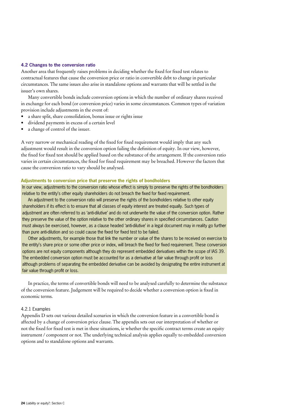#### **4.2 Changes to the conversion ratio**

Another area that frequently raises problems in deciding whether the fixed for fixed test relates to contractual features that cause the conversion price or ratio in convertible debt to change in particular circumstances. The same issues also arise in standalone options and warrants that will be settled in the issuer's own shares.

Many convertible bonds include conversion options in which the number of ordinary shares received in exchange for each bond (or conversion price) varies in some circumstances. Common types of variation provision include adjustments in the event of:

- a share split, share consolidation, bonus issue or rights issue
- dividend payments in excess of a certain level
- a change of control of the issuer.

A very narrow or mechanical reading of the fixed for fixed requirement would imply that any such adjustment would result in the conversion option failing the definition of equity. In our view, however, the fixed for fixed test should be applied based on the substance of the arrangement. If the conversion ratio varies in certain circumstances, the fixed for fixed requirement may be breached. However the factors that cause the conversion ratio to vary should be analysed.

#### **Adjustments to conversion price that preserve the rights of bondholders**

In our view, adjustments to the conversion ratio whose effect is simply to preserve the rights of the bondholders relative to the entity's other equity shareholders do not breach the fixed for fixed requirement.

An adjustment to the conversion ratio will preserve the rights of the bondholders relative to other equity shareholders if its effect is to ensure that all classes of equity interest are treated equally. Such types of adjustment are often referred to as 'anti-dilutive' and do not underwrite the value of the conversion option. Rather they preserve the value of the option relative to the other ordinary shares in specified circumstances. Caution must always be exercised, however, as a clause headed 'anti-dilutive' in a legal document may in reality go further than pure anti-dilution and so could cause the fixed for fixed test to be failed.

Other adjustments, for example those that link the number or value of the shares to be received on exercise to the entity's share price or some other price or index, will breach the fixed for fixed requirement. These conversion options are not equity components although they do represent embedded derivatives within the scope of IAS 39. The embedded conversion option must be accounted for as a derivative at fair value through profit or loss although problems of separating the embedded derivative can be avoided by designating the entire instrument at fair value through profit or loss.

In practice, the terms of convertible bonds will need to be analysed carefully to determine the substance of the conversion feature. Judgement will be required to decide whether a conversion option is fixed in economic terms.

#### 4.2.1 Examples

Appendix D sets out various detailed scenarios in which the conversion feature in a convertible bond is affected by a change of conversion price clause. The appendix sets out our interpretation of whether or not the fixed for fixed test is met in these situations, ie whether the specific contract terms create an equity instrument / component or not. The underlying technical analysis applies equally to embedded conversion options and to standalone options and warrants.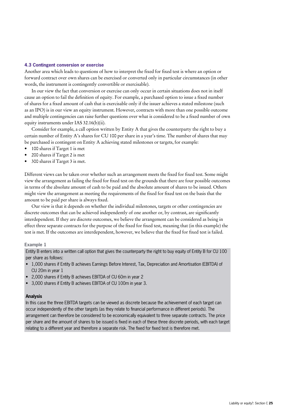#### **4.3 Contingent conversion or exercise**

Another area which leads to questions of how to interpret the fixed for fixed test is where an option or forward contract over own shares can be exercised or converted only in particular circumstances (in other words, the instrument is contingently convertible or exercisable).

In our view the fact that conversion or exercise can only occur in certain situations does not in itself cause an option to fail the definition of equity. For example, a purchased option to issue a fixed number of shares for a fixed amount of cash that is exercisable only if the issuer achieves a stated milestone (such as an IPO) is in our view an equity instrument. However, contracts with more than one possible outcome and multiple contingencies can raise further questions over what is considered to be a fixed number of own equity instruments under IAS 32.16(b)(ii).

Consider for example, a call option written by Entity A that gives the counterparty the right to buy a certain number of Entity A's shares for CU 100 per share in a year's time. The number of shares that may be purchased is contingent on Entity A achieving stated milestones or targets, for example:

- 100 shares if Target 1 is met
- 200 shares if Target 2 is met
- 300 shares if Target 3 is met.

Different views can be taken over whether such an arrangement meets the fixed for fixed test. Some might view the arrangement as failing the fixed for fixed test on the grounds that there are four possible outcomes in terms of the absolute amount of cash to be paid and the absolute amount of shares to be issued. Others might view the arrangement as meeting the requirements of the fixed for fixed test on the basis that the amount to be paid per share is always fixed.

Our view is that it depends on whether the individual milestones, targets or other contingencies are discrete outcomes that can be achieved independently of one another or, by contrast, are significantly interdependent. If they are discrete outcomes, we believe the arrangement can be considered as being in effect three separate contracts for the purpose of the fixed for fixed test, meaning that (in this example) the test is met. If the outcomes are interdependent, however, we believe that the fixed for fixed test is failed.

#### **Example 1**

 Entity B enters into a written call option that gives the counterparty the right to buy equity of Entity B for CU 100 per share as follows:

- 1,000 shares if Entity B achieves Earnings Before Interest, Tax, Depreciation and Amortisation (EBITDA) of CU 20m in year 1
- 2,000 shares if Entity B achieves EBITDA of CU 60m in year 2
- 3,000 shares if Entity B achieves EBITDA of CU 100m in year 3.

#### **Analysis**

 In this case the three EBITDA targets can be viewed as discrete because the achievement of each target can occur independently of the other targets (as they relate to financial performance in different periods). The arrangement can therefore be considered to be economically equivalent to three separate contracts. The price per share and the amount of shares to be issued is fixed in each of these three discrete periods, with each target relating to a different year and therefore a separate risk. The fixed for fixed test is therefore met.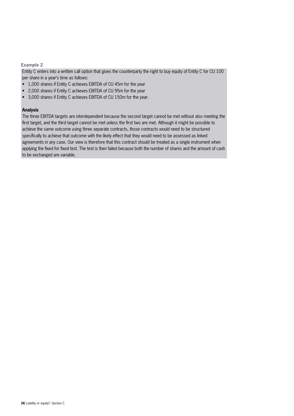## **Example 2**

 Entity C enters into a written call option that gives the counterparty the right to buy equity of Entity C for CU 100 per share in a year's time as follows:

- 1,000 shares if Entity C achieves EBITDA of CU 45m for the year
- 2,000 shares if Entity C achieves EBITDA of CU 95m for the year
- 3,000 shares if Entity C achieves EBITDA of CU 150m for the year.

## **Analysis**

 The three EBITDA targets are interdependent because the second target cannot be met without also meeting the first target, and the third target cannot be met unless the first two are met. Although it might be possible to achieve the same outcome using three separate contracts, those contracts would need to be structured specifically to achieve that outcome with the likely effect that they would need to be assessed as linked agreements in any case. Our view is therefore that this contract should be treated as a single instrument when applying the fixed for fixed test. The test is then failed because both the number of shares and the amount of cash to be exchanged are variable.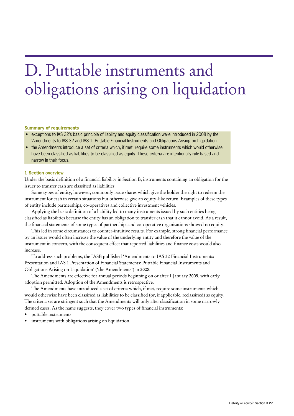## D. Puttable instruments and obligations arising on liquidation

#### **Summary of requirements**

- exceptions to IAS 32's basic principle of liability and equity classification were introduced in 2008 by the 'Amendments to IAS 32 and IAS 1: Puttable Financial Instruments and Obligations Arising on Liquidation'
- the Amendments introduce a set of criteria which, if met, require some instruments which would otherwise have been classified as liabilities to be classified as equity. These criteria are intentionally rule-based and narrow in their focus.

#### **1 Section overview**

Under the basic definition of a financial liability in Section B, instruments containing an obligation for the issuer to transfer cash are classified as liabilities.

Some types of entity, however, commonly issue shares which give the holder the right to redeem the instrument for cash in certain situations but otherwise give an equity-like return. Examples of these types of entity include partnerships, co-operatives and collective investment vehicles.

Applying the basic definition of a liability led to many instruments issued by such entities being classified as liabilities because the entity has an obligation to transfer cash that it cannot avoid. As a result, the financial statements of some types of partnerships and co-operative organisations showed no equity.

This led in some circumstances to counter-intuitive results. For example, strong financial performance by an issuer would often increase the value of the underlying entity and therefore the value of the instrument in concern, with the consequent effect that reported liabilities and finance costs would also increase.

To address such problems, the IASB published 'Amendments to IAS 32 Financial Instruments: Presentation and IAS 1 Presentation of Financial Statements: Puttable Financial Instruments and Obligations Arising on Liquidation' ('the Amendments') in 2008.

The Amendments are effective for annual periods beginning on or after 1 January 2009, with early adoption permitted. Adoption of the Amendments is retrospective.

The Amendments have introduced a set of criteria which, if met, require some instruments which would otherwise have been classified as liabilities to be classified (or, if applicable, reclassified) as equity. The criteria set are stringent such that the Amendments will only alter classification in some narrowly defined cases. As the name suggests, they cover two types of financial instruments:

- puttable instruments
- instruments with obligations arising on liquidation.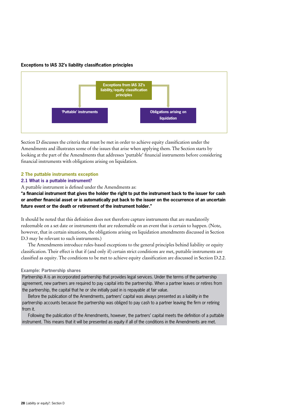



Section D discusses the criteria that must be met in order to achieve equity classification under the Amendments and illustrates some of the issues that arise when applying them. The Section starts by looking at the part of the Amendments that addresses 'puttable' financial instruments before considering financial instruments with obligations arising on liquidation.

## **2 The puttable instruments exception**

### **2.1 What is a puttable instrument?**

A puttable instrument is defined under the Amendments as:

**"a financial instrument that gives the holder the right to put the instrument back to the issuer for cash or another financial asset or is automatically put back to the issuer on the occurrence of an uncertain future event or the death or retirement of the instrument holder."**

It should be noted that this definition does not therefore capture instruments that are mandatorily redeemable on a set date or instruments that are redeemable on an event that is certain to happen. (Note, however, that in certain situations, the obligations arising on liquidation amendments discussed in Section D.3 may be relevant to such instruments.)

The Amendments introduce rules-based exceptions to the general principles behind liability or equity classification. Their effect is that if (and only if) certain strict conditions are met, puttable instruments are classified as equity. The conditions to be met to achieve equity classification are discussed in Section D.2.2.

#### **Example: Partnership shares**

 Partnership A is an incorporated partnership that provides legal services. Under the terms of the partnership agreement, new partners are required to pay capital into the partnership. When a partner leaves or retires from the partnership, the capital that he or she initially paid in is repayable at fair value.

Before the publication of the Amendments, partners' capital was always presented as a liability in the partnership accounts because the partnership was obliged to pay cash to a partner leaving the firm or retiring from it.

Following the publication of the Amendments, however, the partners' capital meets the definition of a puttable instrument. This means that it will be presented as equity if all of the conditions in the Amendments are met.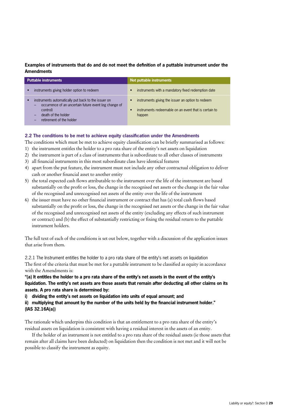## **Examples of instruments that do and do not meet the definition of a puttable instrument under the Amendments**

| <b>Puttable instruments</b>                                                                                                                                                        | Not puttable instruments                                                                                             |  |  |
|------------------------------------------------------------------------------------------------------------------------------------------------------------------------------------|----------------------------------------------------------------------------------------------------------------------|--|--|
| instruments giving holder option to redeem                                                                                                                                         | instruments with a mandatory fixed redemption date                                                                   |  |  |
| instruments automatically put back to the issuer on<br>occurrence of an uncertain future event (eg change of<br>$-$<br>control)<br>death of the holder<br>retirement of the holder | instruments giving the issuer an option to redeem<br>instruments redeemable on an event that is certain to<br>happen |  |  |

## **2.2 The conditions to be met to achieve equity classification under the Amendments**

The conditions which must be met to achieve equity classification can be briefly summarised as follows:

- 1) the instrument entitles the holder to a pro rata share of the entity's net assets on liquidation
- 2) the instrument is part of a class of instruments that is subordinate to all other classes of instruments
- 3) all financial instruments in this most subordinate class have identical features
- 4) apart from the put feature, the instrument must not include any other contractual obligation to deliver cash or another financial asset to another entity
- 5) the total expected cash flows attributable to the instrument over the life of the instrument are based substantially on the profit or loss, the change in the recognised net assets or the change in the fair value of the recognised and unrecognised net assets of the entity over the life of the instrument
- 6) the issuer must have no other financial instrument or contract that has (a) total cash flows based substantially on the profit or loss, the change in the recognised net assets or the change in the fair value of the recognised and unrecognised net assets of the entity (excluding any effects of such instrument or contract) and (b) the effect of substantially restricting or fixing the residual return to the puttable instrument holders.

The full text of each of the conditions is set out below, together with a discussion of the application issues that arise from them.

2.2.1 The Instrument entitles the holder to a pro rata share of the entity's net assets on liquidation The first of the criteria that must be met for a puttable instrument to be classified as equity in accordance with the Amendments is:

**"(a) It entitles the holder to a pro rata share of the entity's net assets in the event of the entity's liquidation. The entity's net assets are those assets that remain after deducting all other claims on its assets. A pro rata share is determined by:**

**i) dividing the entity's net assets on liquidation into units of equal amount; and**

**ii) multiplying that amount by the number of the units held by the financial instrument holder." (IAS 32.16A(a))** 

The rationale which underpins this condition is that an entitlement to a pro rata share of the entity's residual assets on liquidation is consistent with having a residual interest in the assets of an entity.

If the holder of an instrument is not entitled to a pro rata share of the residual assets (ie those assets that remain after all claims have been deducted) on liquidation then the condition is not met and it will not be possible to classify the instrument as equity.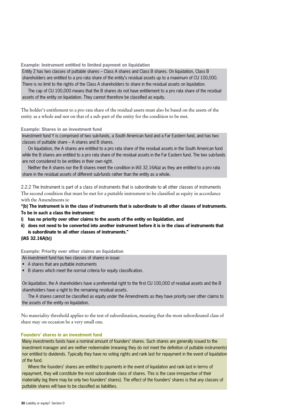**Example: Instrument entitled to limited payment on liquidation**

 Entity Z has two classes of puttable shares – Class A shares and Class B shares. On liquidation, Class B shareholders are entitled to a pro rata share of the entity's residual assets up to a maximum of CU 100,000. There is no limit to the rights of the Class A shareholders to share in the residual assets on liquidation.

The cap of CU 100,000 means that the B shares do not have entitlement to a pro rata share of the residual assets of the entity on liquidation. They cannot therefore be classified as equity.

The holder's entitlement to a pro rata share of the residual assets must also be based on the assets of the entity as a whole and not on that of a sub-part of the entity for the condition to be met.

**Example: Shares in an investment fund**

 Investment fund Y is comprised of two sub-funds, a South American fund and a Far Eastern fund, and has two classes of puttable share – A shares and B shares.

On liquidation, the A shares are entitled to a pro rata share of the residual assets in the South American fund while the B shares are entitled to a pro rata share of the residual assets in the Far Eastern fund. The two sub-funds are not considered to be entities in their own right.

Neither the A shares nor the B shares meet the condition in IAS 32.16A(a) as they are entitled to a pro rata share in the residual assets of different sub-funds rather than the entity as a whole.

2.2.2 The Instrument is part of a class of instruments that is subordinate to all other classes of instruments The second condition that must be met for a puttable instrument to be classified as equity in accordance with the Amendments is:

**"(b) The instrument is in the class of instruments that is subordinate to all other classes of instruments. To be in such a class the instrument:**

- **i) has no priority over other claims to the assets of the entity on liquidation, and**
- **ii) does not need to be converted into another instrument before it is in the class of instruments that is subordinate to all other classes of instruments."**
- **(IAS 32.16A(b))**

**Example: Priority over other claims on liquidation**

- An investment fund has two classes of shares in issue:
- A shares that are puttable instruments
- B shares which meet the normal criteria for equity classification.

 On liquidation, the A shareholders have a preferential right to the first CU 100,000 of residual assets and the B shareholders have a right to the remaining residual assets.

The A shares cannot be classified as equity under the Amendments as they have priority over other claims to the assets of the entity on liquidation.

No materiality threshold applies to the test of subordination, meaning that the most subordinated class of share may on occasion be a very small one.

#### **Founders' shares in an investment fund**

Many investments funds have a nominal amount of founders' shares. Such shares are generally issued to the investment manager and are neither redeemable (meaning they do not meet the definition of puttable instruments) nor entitled to dividends. Typically they have no voting rights and rank last for repayment in the event of liquidation of the fund.

Where the founders' shares are entitled to payments in the event of liquidation and rank last in terms of repayment, they will constitute the most subordinate class of shares. This is the case irrespective of their materiality (eg there may be only two founders' shares). The effect of the founders' shares is that any classes of puttable shares will have to be classified as liabilities.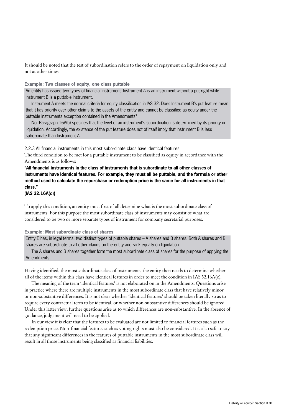It should be noted that the test of subordination refers to the order of repayment on liquidation only and not at other times.

**Example: Two classes of equity, one class puttable** 

 An entity has issued two types of financial instrument. Instrument A is an instrument without a put right while instrument B is a puttable instrument.

Instrument A meets the normal criteria for equity classification in IAS 32. Does Instrument B's put feature mean that it has priority over other claims to the assets of the entity and cannot be classified as equity under the puttable instruments exception contained in the Amendments?

No. Paragraph 16A(b) specifies that the level of an instrument's subordination is determined by its priority in liquidation. Accordingly, the existence of the put feature does not of itself imply that Instrument B is less subordinate than Instrument A.

2.2.3 All financial instruments in this most subordinate class have identical features

The third condition to be met for a puttable instrument to be classified as equity in accordance with the Amendments is as follows:

**"All financial instruments in the class of instruments that is subordinate to all other classes of instruments have identical features. For example, they must all be puttable, and the formula or other method used to calculate the repurchase or redemption price is the same for all instruments in that class."**

## **(IAS 32.16A(c))**

To apply this condition, an entity must first of all determine what is the most subordinate class of instruments. For this purpose the most subordinate class of instruments may consist of what are considered to be two or more separate types of instrument for company secretarial purposes.

**Example: Most subordinate class of shares**

 Entity E has, in legal terms, two distinct types of puttable shares – A shares and B shares. Both A shares and B shares are subordinate to all other claims on the entity and rank equally on liquidation.

The A shares and B shares together form the most subordinate class of shares for the purpose of applying the Amendments.

Having identified, the most subordinate class of instruments, the entity then needs to determine whether all of the items within this class have identical features in order to meet the condition in IAS 32.16A(c).

The meaning of the term 'identical features' is not elaborated on in the Amendments. Questions arise in practice where there are multiple instruments in the most subordinate class that have relatively minor or non-substantive differences. It is not clear whether 'identical features' should be taken literally so as to require every contractual term to be identical, or whether non-substantive differences should be ignored. Under this latter view, further questions arise as to which differences are non-substantive. In the absence of guidance, judgement will need to be applied.

In our view it is clear that the features to be evaluated are not limited to financial features such as the redemption price. Non-financial features such as voting rights must also be considered. It is also safe to say that any significant differences in the features of puttable instruments in the most subordinate class will result in all those instruments being classified as financial liabilities.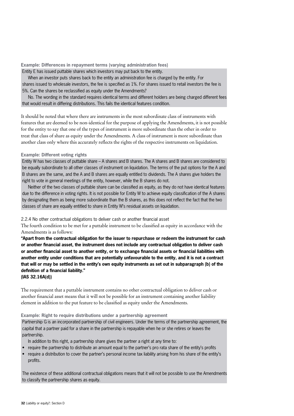**Example: Differences in repayment terms (varying administration fees)**

Entity E has issued puttable shares which investors may put back to the entity.

When an investor puts shares back to the entity an administration fee is charged by the entity. For shares issued to wholesale investors, the fee is specified as 1%. For shares issued to retail investors the fee is 5%. Can the shares be reclassified as equity under the Amendments?

No. The wording in the standard requires identical terms and different holders are being charged different fees that would result in differing distributions. This fails the identical features condition.

It should be noted that where there are instruments in the most subordinate class of instruments with features that are deemed to be non-identical for the purpose of applying the Amendments, it is not possible for the entity to say that one of the types of instrument is more subordinate than the other in order to treat that class of share as equity under the Amendments. A class of instrument is more subordinate than another class only where this accurately reflects the rights of the respective instruments on liquidation.

## **Example: Different voting rights**

 Entity W has two classes of puttable share – A shares and B shares. The A shares and B shares are considered to be equally subordinate to all other classes of instrument on liquidation. The terms of the put options for the A and B shares are the same, and the A and B shares are equally entitled to dividends. The A shares give holders the right to vote in general meetings of the entity, however, while the B shares do not.

Neither of the two classes of puttable share can be classified as equity, as they do not have identical features due to the difference in voting rights. It is not possible for Entity W to achieve equity classification of the A shares by designating them as being more subordinate than the B shares, as this does not reflect the fact that the two classes of share are equally entitled to share in Entity W's residual assets on liquidation.

2.2.4 No other contractual obligations to deliver cash or another financial asset

The fourth condition to be met for a puttable instrument to be classified as equity in accordance with the Amendments is as follows:

**"Apart from the contractual obligation for the issuer to repurchase or redeem the instrument for cash or another financial asset, the instrument does not include any contractual obligation to deliver cash or another financial asset to another entity, or to exchange financial assets or financial liabilities with another entity under conditions that are potentially unfavourable to the entity, and it is not a contract that will or may be settled in the entity's own equity instruments as set out in subparagraph (b) of the definition of a financial liability."**

**(IAS 32.16A(d))** 

The requirement that a puttable instrument contains no other contractual obligation to deliver cash or another financial asset means that it will not be possible for an instrument containing another liability element in addition to the put feature to be classified as equity under the Amendments.

**Example: Right to require distributions under a partnership agreement**

 Partnership G is an incorporated partnership of civil engineers. Under the terms of the partnership agreement, the capital that a partner paid for a share in the partnership is repayable when he or she retires or leaves the partnership.

In addition to this right, a partnership share gives the partner a right at any time to:

- require the partnership to distribute an amount equal to the partner's pro rata share of the entity's profits
- require a distribution to cover the partner's personal income tax liability arising from his share of the entity's profits.

 The existence of these additional contractual obligations means that it will not be possible to use the Amendments to classify the partnership shares as equity.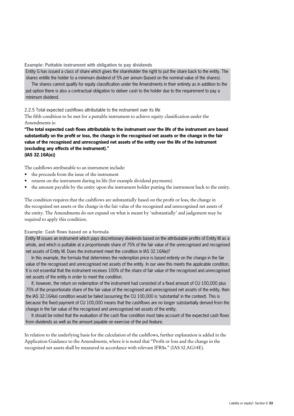**Example: Puttable instrument with obligation to pay dividends**

 Entity G has issued a class of share which gives the shareholder the right to put the share back to the entity. The shares entitle the holder to a minimum dividend of 5% per annum (based on the nominal value of the shares).

The shares cannot qualify for equity classification under the Amendments in their entirety as in addition to the put option there is also a contractual obligation to deliver cash to the holder due to the requirement to pay a minimum dividend.

2.2.5 Total expected cashflows attributable to the instrument over its life

The fifth condition to be met for a puttable instrument to achieve equity classification under the Amendments is:

**"The total expected cash flows attributable to the instrument over the life of the instrument are based substantially on the profit or loss, the change in the recognised net assets or the change in the fair value of the recognised and unrecognised net assets of the entity over the life of the instrument (excluding any effects of the instrument)."**

**(IAS 32.16A(e))** 

The cashflows attributable to an instrument include:

- the proceeds from the issue of the instrument
- returns on the instrument during its life (for example dividend payments)
- the amount payable by the entity upon the instrument holder putting the instrument back to the entity.

The condition requires that the cashflows are substantially based on the profit or loss, the change in the recognised net assets or the change in the fair value of the recognised and unrecognised net assets of the entity. The Amendments do not expand on what is meant by 'substantially' and judgement may be required to apply this condition.

#### **Example: Cash flows based on a formula**

 Entity M issues an instrument which pays discretionary dividends based on the attributable profits of Entity M as a whole, and which is puttable at a proportionate share of 75% of the fair value of the unrecognised and recognised net assets of Entity M. Does the instrument meet the condition in IAS 32.16A(e)?

In this example, the formula that determines the redemption price is based entirely on the change in the fair value of the recognised and unrecognised net assets of the entity. In our view this meets the applicable condition. It is not essential that the instrument receives 100% of the share of fair value of the recognised and unrecognised net assets of the entity in order to meet the condition.

If, however, the return on redemption of the instrument had consisted of a fixed amount of CU 100,000 plus 75% of the proportionate share of the fair value of the recognised and unrecognised net assets of the entity, then the IAS 32.16A(e) condition would be failed (assuming the CU 100,000 is 'substantial' in the context). This is because the fixed payment of CU 100,000 means that the cashflows are no longer substantially derived from the change in the fair value of the recognised and unrecognised net assets of the entity.

It should be noted that the evaluation of the cash flow condition must take account of the expected cash flows from dividends as well as the amount payable on exercise of the put feature.

In relation to the underlying basis for the calculation of the cashflows, further explanation is added in the Application Guidance to the Amendments, where it is noted that "Profit or loss and the change in the recognised net assets shall be measured in accordance with relevant IFRSs." (IAS 32.AG14E).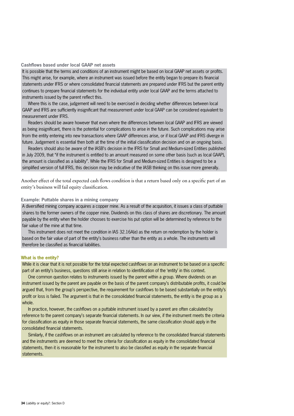#### **Cashflows based under local GAAP net assets**

 It is possible that the terms and conditions of an instrument might be based on local GAAP net assets or profits. This might arise, for example, where an instrument was issued before the entity began to prepare its financial statements under IFRS or where consolidated financial statements are prepared under IFRS but the parent entity continues to prepare financial statements for the individual entity under local GAAP and the terms attached to instruments issued by the parent reflect this.

Where this is the case, judgement will need to be exercised in deciding whether differences between local GAAP and IFRS are sufficiently insignificant that measurement under local GAAP can be considered equivalent to measurement under IFRS.

Readers should be aware however that even where the differences between local GAAP and IFRS are viewed as being insignificant, there is the potential for complications to arise in the future. Such complications may arise from the entity entering into new transactions where GAAP differences arise, or if local GAAP and IFRS diverge in future. Judgement is essential then both at the time of the initial classification decision and on an ongoing basis.

Readers should also be aware of the IASB's decision in the IFRS for Small and Medium-sized Entities published in July 2009, that "if the instrument is entitled to an amount measured on some other basis (such as local GAAP), the amount is classified as a liability". While the IFRS for Small and Medium-sized Entities is designed to be a simplified version of full IFRS, this decision may be indicative of the IASB thinking on this issue more generally.

Another effect of the total expected cash flows condition is that a return based only on a specific part of an entity's business will fail equity classification.

#### **Example: Puttable shares in a mining company**

 A diversified mining company acquires a copper mine. As a result of the acquisition, it issues a class of puttable shares to the former owners of the copper mine. Dividends on this class of shares are discretionary. The amount payable by the entity when the holder chooses to exercise his put option will be determined by reference to the fair value of the mine at that time.

This instrument does not meet the condition in IAS 32.16A(e) as the return on redemption by the holder is based on the fair value of part of the entity's business rather than the entity as a whole. The instruments will therefore be classified as financial liabilities.

### **What is the entity?**

While it is clear that it is not possible for the total expected cashflows on an instrument to be based on a specific part of an entity's business, questions still arise in relation to identification of the 'entity' in this context.

One common question relates to instruments issued by the parent within a group. Where dividends on an instrument issued by the parent are payable on the basis of the parent company's distributable profits, it could be argued that, from the group's perspective, the requirement for cashflows to be based substantially on the entity's profit or loss is failed. The argument is that in the consolidated financial statements, the entity is the group as a whole.

In practice, however, the cashflows on a puttable instrument issued by a parent are often calculated by reference to the parent company's separate financial statements. In our view, if the instrument meets the criteria for classification as equity in those separate financial statements, the same classification should apply in the consolidated financial statements.

Similarly, if the cashflows on an instrument are calculated by reference to the consolidated financial statements and the instruments are deemed to meet the criteria for classification as equity in the consolidated financial statements, then it is reasonable for the instrument to also be classified as equity in the separate financial statements.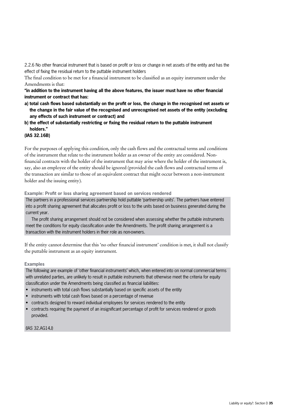2.2.6 No other financial instrument that is based on profit or loss or change in net assets of the entity and has the effect of fixing the residual return to the puttable instrument holders

The final condition to be met for a financial instrument to be classified as an equity instrument under the Amendments is that:

**"in addition to the instrument having all the above features, the issuer must have no other financial instrument or contract that has:**

- **a) total cash flows based substantially on the profit or loss, the change in the recognised net assets or the change in the fair value of the recognised and unrecognised net assets of the entity (excluding any effects of such instrument or contract) and**
- **b) the effect of substantially restricting or fixing the residual return to the puttable instrument holders."**

## **(IAS 32.16B)**

For the purposes of applying this condition, only the cash flows and the contractual terms and conditions of the instrument that relate to the instrument holder as an owner of the entity are considered. Nonfinancial contracts with the holder of the instrument that may arise where the holder of the instrument is, say, also an employee of the entity should be ignored (provided the cash flows and contractual terms of the transaction are similar to those of an equivalent contract that might occur between a non-instrument holder and the issuing entity).

**Example: Profit or loss sharing agreement based on services rendered** 

 The partners in a professional services partnership hold puttable 'partnership units'. The partners have entered into a profit sharing agreement that allocates profit or loss to the units based on business generated during the current year.

The profit sharing arrangement should not be considered when assessing whether the puttable instruments meet the conditions for equity classification under the Amendments. The profit sharing arrangement is a transaction with the instrument holders in their role as non-owners.

If the entity cannot determine that this 'no other financial instrument' condition is met, it shall not classify the puttable instrument as an equity instrument.

## **Examples**

 The following are example of 'other financial instruments' which, when entered into on normal commercial terms with unrelated parties, are unlikely to result in puttable instruments that otherwise meet the criteria for equity classification under the Amendments being classified as financial liabilities:

- instruments with total cash flows substantially based on specific assets of the entity
- instruments with total cash flows based on a percentage of revenue
- contracts designed to reward individual employees for services rendered to the entity
- contracts requiring the payment of an insignificant percentage of profit for services rendered or goods provided.

#### (IAS 32.AG14J)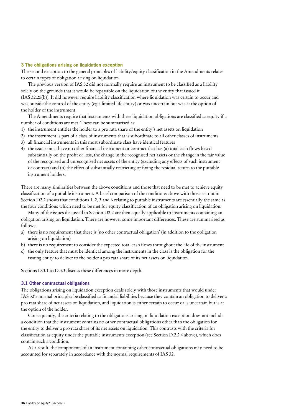#### **3 The obligations arising on liquidation exception**

The second exception to the general principles of liability/equity classification in the Amendments relates to certain types of obligation arising on liquidation.

The previous version of IAS 32 did not normally require an instrument to be classified as a liability solely on the grounds that it would be repayable on the liquidation of the entity that issued it (IAS 32.25(b)). It did however require liability classification where liquidation was certain to occur and was outside the control of the entity (eg a limited life entity) or was uncertain but was at the option of the holder of the instrument.

The Amendments require that instruments with these liquidation obligations are classified as equity if a number of conditions are met. These can be summarised as:

- 1) the instrument entitles the holder to a pro rata share of the entity's net assets on liquidation
- 2) the instrument is part of a class of instruments that is subordinate to all other classes of instruments
- 3) all financial instruments in this most subordinate class have identical features
- 4) the issuer must have no other financial instrument or contract that has (a) total cash flows based substantially on the profit or loss, the change in the recognised net assets or the change in the fair value of the recognised and unrecognised net assets of the entity (excluding any effects of such instrument or contract) and (b) the effect of substantially restricting or fixing the residual return to the puttable instrument holders.

There are many similarities between the above conditions and those that need to be met to achieve equity classification of a puttable instrument. A brief comparison of the conditions above with those set out in Section D2.2 shows that conditions 1, 2, 3 and 6 relating to puttable instruments are essentially the same as the four conditions which need to be met for equity classification of an obligation arising on liquidation.

Many of the issues discussed in Section D2.2 are then equally applicable to instruments containing an obligation arising on liquidation. There are however some important differences. These are summarised as follows:

- a) there is no requirement that there is 'no other contractual obligation' (in addition to the obligation arising on liquidation)
- b) there is no requirement to consider the expected total cash flows throughout the life of the instrument
- c) the only feature that must be identical among the instruments in the class is the obligation for the issuing entity to deliver to the holder a pro rata share of its net assets on liquidation.

Sections D.3.1 to D.3.3 discuss these differences in more depth.

#### **3.1 Other contractual obligations**

The obligations arising on liquidation exception deals solely with those instruments that would under IAS 32's normal principles be classified as financial liabilities because they contain an obligation to deliver a pro rata share of net assets on liquidation, and liquidation is either certain to occur or is uncertain but is at the option of the holder.

Consequently, the criteria relating to the obligations arising on liquidation exception does not include a condition that the instrument contains no other contractual obligations other than the obligation for the entity to deliver a pro rata share of its net assets on liquidation. This contrasts with the criteria for classification as equity under the puttable instruments exception (see Section D.2.2.4 above), which does contain such a condition.

As a result, the components of an instrument containing other contractual obligations may need to be accounted for separately in accordance with the normal requirements of IAS 32.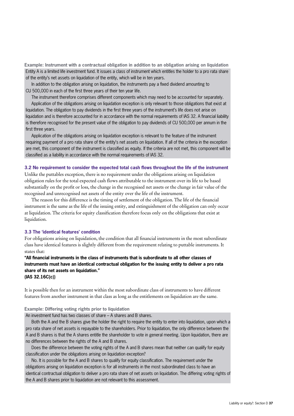**Example: Instrument with a contractual obligation in addition to an obligation arising on liquidation** Entity A is a limited life investment fund. It issues a class of instrument which entitles the holder to a pro rata share of the entity's net assets on liquidation of the entity, which will be in ten years.

In addition to the obligation arising on liquidation, the instruments pay a fixed dividend amounting to CU 500,000 in each of the first three years of their ten year life.

The instrument therefore comprises different components which may need to be accounted for separately.

Application of the obligations arising on liquidation exception is only relevant to those obligations that exist at liquidation. The obligation to pay dividends in the first three years of the instrument's life does not arise on liquidation and is therefore accounted for in accordance with the normal requirements of IAS 32. A financial liability is therefore recognised for the present value of the obligation to pay dividends of CU 500,000 per annum in the first three years.

Application of the obligations arising on liquidation exception is relevant to the feature of the instrument requiring payment of a pro rata share of the entity's net assets on liquidation. If all of the criteria in the exception are met, this component of the instrument is classified as equity. If the criteria are not met, this component will be classified as a liability in accordance with the normal requirements of IAS 32.

#### **3.2 No requirement to consider the expected total cash flows throughout the life of the instrument**

Unlike the puttables exception, there is no requirement under the obligations arising on liquidation obligation rules for the total expected cash flows attributable to the instrument over its life to be based substantially on the profit or loss, the change in the recognised net assets or the change in fair value of the recognised and unrecognised net assets of the entity over the life of the instrument.

The reason for this difference is the timing of settlement of the obligation. The life of the financial instrument is the same as the life of the issuing entity, and extinguishment of the obligation can only occur at liquidation. The criteria for equity classification therefore focus only on the obligations that exist at liquidation.

#### **3.3 The 'identical features' condition**

For obligations arising on liquidation, the condition that all financial instruments in the most subordinate class have identical features is slightly different from the requirement relating to puttable instruments. It states that:

**"All financial instruments in the class of instruments that is subordinate to all other classes of instruments must have an identical contractual obligation for the issuing entity to deliver a pro rata share of its net assets on liquidation." (IAS 32.16C(c))** 

It is possible then for an instrument within the most subordinate class of instruments to have different features from another instrument in that class as long as the entitlements on liquidation are the same.

#### **Example: Differing voting rights prior to liquidation**

An investment fund has two classes of share – A shares and B shares.

Both the A and the B shares give the holder the right to require the entity to enter into liquidation, upon which a pro rata share of net assets is repayable to the shareholders. Prior to liquidation, the only difference between the A and B shares is that the A shares entitle the shareholder to vote in general meeting. Upon liquidation, there are no differences between the rights of the A and B shares.

Does the difference between the voting rights of the A and B shares mean that neither can qualify for equity classification under the obligations arising on liquidation exception?

No. It is possible for the A and B shares to qualify for equity classification. The requirement under the obligations arising on liquidation exception is for all instruments in the most subordinated class to have an identical contractual obligation to deliver a pro rata share of net assets on liquidation. The differing voting rights of the A and B shares prior to liquidation are not relevant to this assessment.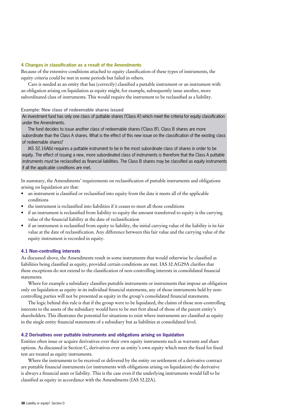#### **4 Changes in classification as a result of the Amendments**

Because of the extensive conditions attached to equity classification of these types of instruments, the equity criteria could be met in some periods but failed in others.

Care is needed as an entity that has (correctly) classified a puttable instrument or an instrument with an obligation arising on liquidation as equity might, for example, subsequently issue another, more subordinated class of instruments. This would require the instrument to be reclassified as a liability.

## **Example: New class of redeemable shares issued**

 An investment fund has only one class of puttable shares ('Class A') which meet the criteria for equity classification under the Amendments.

The fund decides to issue another class of redeemable shares ('Class B'). Class B shares are more subordinate than the Class A shares. What is the effect of this new issue on the classification of the existing class of redeemable shares?

IAS 32.16A(b) requires a puttable instrument to be in the most subordinate class of shares in order to be equity. The effect of issuing a new, more subordinated class of instruments is therefore that the Class A puttable instruments must be reclassified as financial liabilities. The Class B shares may be classified as equity instruments if all the applicable conditions are met.

In summary, the Amendments' requirements on reclassification of puttable instruments and obligations arising on liquidation are that:

- an instrument is classified or reclassified into equity from the date it meets all of the applicable conditions
- the instrument is reclassified into liabilities if it ceases to meet all those conditions
- if an instrument is reclassified from liability to equity the amount transferred to equity is the carrying value of the financial liability at the date of reclassification
- if an instrument is reclassified from equity to liability, the initial carrying value of the liability is its fair value at the date of reclassification. Any difference between this fair value and the carrying value of the equity instrument is recorded in equity.

### **4.1 Non-controlling interests**

As discussed above, the Amendments result in some instruments that would otherwise be classified as liabilities being classified as equity, provided certain conditions are met. IAS 32.AG29A clarifies that these exceptions do not extend to the classification of non-controlling interests in consolidated financial statements.

Where for example a subsidiary classifies puttable instruments or instruments that impose an obligation only on liquidation as equity in its individual financial statements, any of those instruments held by noncontrolling parties will not be presented as equity in the group's consolidated financial statements.

The logic behind this rule is that if the group were to be liquidated, the claims of those non-controlling interests to the assets of the subsidiary would have to be met first ahead of those of the parent entity's shareholders. This illustrates the potential for situations to exist where instruments are classified as equity in the single entity financial statements of a subsidiary but as liabilities at consolidated level.

#### **4.2 Derivatives over puttable instruments and obligations arising on liquidation**

Entities often issue or acquire derivatives over their own equity instruments such as warrants and share options. As discussed in Section C, derivatives over an entity's own equity which meet the fixed for fixed test are treated as equity instruments.

Where the instruments to be received or delivered by the entity on settlement of a derivative contract are puttable financial instruments (or instruments with obligations arising on liquidation) the derivative is always a financial asset or liability. This is the case even if the underlying instruments would fall to be classified as equity in accordance with the Amendments (IAS 32.22A).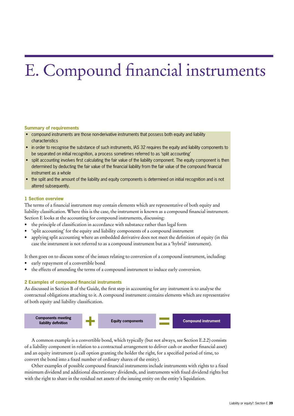## E. Compound financial instruments

#### **Summary of requirements**

- compound instruments are those non-derivative instruments that possess both equity and liability characteristics
- in order to recognise the substance of such instruments, IAS 32 requires the equity and liability components to be separated on initial recognition, a process sometimes referred to as 'split accounting'
- split accounting involves first calculating the fair value of the liability component. The equity component is then determined by deducting the fair value of the financial liability from the fair value of the compound financial instrument as a whole
- the split and the amount of the liability and equity components is determined on initial recognition and is not altered subsequently.

## **1 Section overview**

The terms of a financial instrument may contain elements which are representative of both equity and liability classification. Where this is the case, the instrument is known as a compound financial instrument. Section E looks at the accounting for compound instruments, discussing:

- the principle of classification in accordance with substance rather than legal form
- 'split accounting' for the equity and liability components of a compound instrument
- applying split accounting where an embedded derivative does not meet the definition of equity (in this case the instrument is not referred to as a compound instrument but as a 'hybrid' instrument).

It then goes on to discuss some of the issues relating to conversion of a compound instrument, including:

- early repayment of a convertible bond
- the effects of amending the terms of a compound instrument to induce early conversion.

## **2 Examples of compound financial instruments**

As discussed in Section B of the Guide, the first step in accounting for any instrument is to analyse the contractual obligations attaching to it. A compound instrument contains elements which are representative of both equity and liability classification.



A common example is a convertible bond, which typically (but not always, see Section E.2.2) consists of a liability component in relation to a contractual arrangement to deliver cash or another financial asset) and an equity instrument (a call option granting the holder the right, for a specified period of time, to convert the bond into a fixed number of ordinary shares of the entity).

Other examples of possible compound financial instruments include instruments with rights to a fixed minimum dividend and additional discretionary dividends, and instruments with fixed dividend rights but with the right to share in the residual net assets of the issuing entity on the entity's liquidation.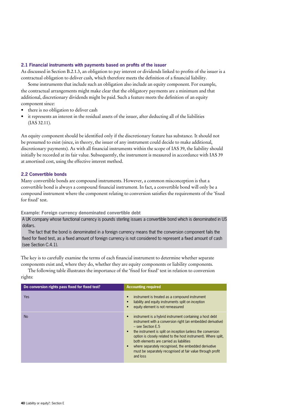#### **2.1 Financial instruments with payments based on profits of the issuer**

As discussed in Section B.2.1.3, an obligation to pay interest or dividends linked to profits of the issuer is a contractual obligation to deliver cash, which therefore meets the definition of a financial liability.

Some instruments that include such an obligation also include an equity component. For example, the contractual arrangements might make clear that the obligatory payments are a minimum and that additional, discretionary dividends might be paid. Such a feature meets the definition of an equity component since:

- there is no obligation to deliver cash
- it represents an interest in the residual assets of the issuer, after deducting all of the liabilities (IAS 32.11).

An equity component should be identified only if the discretionary feature has substance. It should not be presumed to exist (since, in theory, the issuer of any instrument could decide to make additional, discretionary payments). As with all financial instruments within the scope of IAS 39, the liability should initially be recorded at its fair value. Subsequently, the instrument is measured in accordance with IAS 39 at amortised cost, using the effective interest method.

#### **2.2 Convertible bonds**

Many convertible bonds are compound instruments. However, a common misconception is that a convertible bond is always a compound financial instrument. In fact, a convertible bond will only be a compound instrument where the component relating to conversion satisfies the requirements of the 'fixed for fixed' test.

**Example: Foreign currency denominated convertible debt**

 A UK company whose functional currency is pounds sterling issues a convertible bond which is denominated in US dollars.

The fact that the bond is denominated in a foreign currency means that the conversion component fails the fixed for fixed test, as a fixed amount of foreign currency is not considered to represent a fixed amount of cash (see Section C.4.1).

The key is to carefully examine the terms of each financial instrument to determine whether separate components exist and, where they do, whether they are equity components or liability components.

The following table illustrates the importance of the 'fixed for fixed' test in relation to conversion rights:

| Do conversion rights pass fixed for fixed test? | <b>Accounting required</b>                                                                                                                                                                                                                                                                                                                                                                                                                                                               |
|-------------------------------------------------|------------------------------------------------------------------------------------------------------------------------------------------------------------------------------------------------------------------------------------------------------------------------------------------------------------------------------------------------------------------------------------------------------------------------------------------------------------------------------------------|
| <b>Yes</b>                                      | instrument is treated as a compound instrument<br>$\bullet$<br>liability and equity instruments split on inception<br>equity element is not remeasured                                                                                                                                                                                                                                                                                                                                   |
| N <sub>o</sub>                                  | instrument is a hybrid instrument containing a host debt<br>instrument with a conversion right (an embedded derivative)<br>$-$ see Section E.5<br>the instrument is split on inception (unless the conversion<br>$\bullet$<br>option is closely related to the host instrument). Where split,<br>both elements are carried as liabilities<br>where separately recognised, the embedded derivative<br>$\bullet$<br>must be separately recognised at fair value through profit<br>and loss |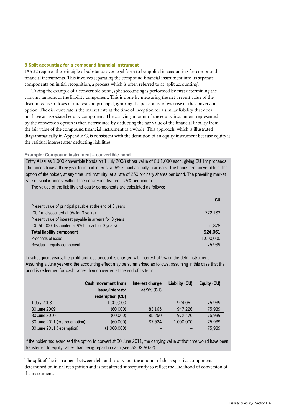#### **3 Split accounting for a compound financial instrument**

IAS 32 requires the principle of substance over legal form to be applied in accounting for compound financial instruments. This involves separating the compound financial instrument into its separate components on initial recognition, a process which is often referred to as 'split accounting'.

Taking the example of a convertible bond, split accounting is performed by first determining the carrying amount of the liability component. This is done by measuring the net present value of the discounted cash flows of interest and principal, ignoring the possibility of exercise of the conversion option. The discount rate is the market rate at the time of inception for a similar liability that does not have an associated equity component. The carrying amount of the equity instrument represented by the conversion option is then determined by deducting the fair value of the financial liability from the fair value of the compound financial instrument as a whole. This approach, which is illustrated diagrammatically in Appendix C, is consistent with the definition of an equity instrument because equity is the residual interest after deducting liabilities.

#### **Example: Compound instrument – convertible bond**

 Entity A issues 1,000 convertible bonds on 1 July 2008 at par value of CU 1,000 each, giving CU 1m proceeds. The bonds have a three-year term and interest at 6% is paid annually in arrears. The bonds are convertible at the option of the holder, at any time until maturity, at a rate of 250 ordinary shares per bond. The prevailing market rate of similar bonds, without the conversion feature, is 9% per annum.

The values of the liability and equity components are calculated as follows:

|                                                          | CU        |
|----------------------------------------------------------|-----------|
| Present value of principal payable at the end of 3 years |           |
| (CU 1m discounted at 9% for 3 years)                     | 772,183   |
| Present value of interest payable in arrears for 3 years |           |
| (CU 60,000 discounted at 9% for each of 3 years)         | 151,878   |
| <b>Total liability component</b>                         | 924.061   |
| Proceeds of issue                                        | 1,000,000 |
| Residual – equity component                              | 75.939    |

 In subsequent years, the profit and loss account is charged with interest of 9% on the debt instrument. Assuming a June year-end the accounting effect may be summarised as follows, assuming in this case that the bond is redeemed for cash rather than converted at the end of its term:

|                               | <b>Cash movement from</b> | Interest charge | Liability (CU) | Equity (CU) |
|-------------------------------|---------------------------|-----------------|----------------|-------------|
|                               | issue/interest/           | at 9% (CU)      |                |             |
|                               | redemption (CU)           |                 |                |             |
| 1 July 2008                   | 1,000,000                 |                 | 924.061        | 75.939      |
| 30 June 2009                  | (60,000)                  | 83,165          | 947.226        | 75,939      |
| 30 June 2010                  | (60,000)                  | 85.250          | 972.476        | 75,939      |
| 30 June 2011 (pre redemption) | (60,000)                  | 87.524          | 1,000,000      | 75,939      |
| 30 June 2011 (redemption)     | (1,000,000)               |                 |                | 75,939      |

If the holder had exercised the option to convert at 30 June 2011, the carrying value at that time would have been transferred to equity rather than being repaid in cash (see IAS 32.AG32).

The split of the instrument between debt and equity and the amount of the respective components is determined on initial recognition and is not altered subsequently to reflect the likelihood of conversion of the instrument.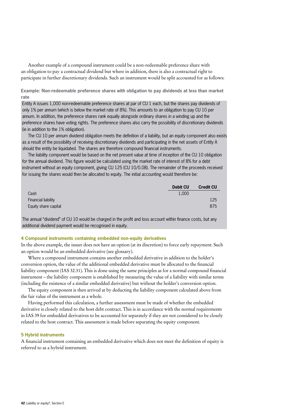Another example of a compound instrument could be a non-redeemable preference share with an obligation to pay a contractual dividend but where in addition, there is also a contractual right to participate in further discretionary dividends. Such an instrument would be split accounted for as follows:

**Example: Non-redeemable preference shares with obligation to pay dividends at less than market rate**

 Entity A issues 1,000 non-redeemable preference shares at par of CU 1 each, but the shares pay dividends of only 1% per annum (which is below the market rate of 8%). This amounts to an obligation to pay CU 10 per annum. In addition, the preference shares rank equally alongside ordinary shares in a winding up and the preference shares have voting rights. The preference shares also carry the possibility of discretionary dividends (ie in addition to the 1% obligation).

The CU 10 per annum dividend obligation meets the definition of a liability, but an equity component also exists as a result of the possibility of receiving discretionary dividends and participating in the net assets of Entity A should the entity be liquidated. The shares are therefore compound financial instruments.

The liability component would be based on the net present value at time of inception of the CU 10 obligation for the annual dividend. This figure would be calculated using the market rate of interest of 8% for a debt instrument without an equity component, giving CU 125 (CU 10/0.08). The remainder of the proceeds received for issuing the shares would then be allocated to equity. The initial accounting would therefore be:

|                      | <b>Debit CU</b> | <b>Credit CU</b> |
|----------------------|-----------------|------------------|
| Cash                 | 1.000           |                  |
| Financial liability  |                 |                  |
| Equity share capital |                 |                  |

 The annual "dividend" of CU 10 would be charged in the profit and loss account within finance costs, but any additional dividend payment would be recognised in equity.

## **4 Compound instruments containing embedded non-equity derivatives**

In the above example, the issuer does not have an option (at its discretion) to force early repayment. Such an option would be an embedded derivative (see glossary).

Where a compound instrument contains another embedded derivative in addition to the holder's conversion option, the value of the additional embedded derivative must be allocated to the financial liability component (IAS 32.31). This is done using the same principles as for a normal compound financial instrument – the liability component is established by measuring the value of a liability with similar terms (including the existence of a similar embedded derivative) but without the holder's conversion option.

The equity component is then arrived at by deducting the liability component calculated above from the fair value of the instrument as a whole.

Having performed this calculation, a further assessment must be made of whether the embedded derivative is closely related to the host debt contract. This is in accordance with the normal requirements in IAS 39 for embedded derivatives to be accounted for separately if they are not considered to be closely related to the host contract. This assessment is made before separating the equity component.

#### **5 Hybrid instruments**

A financial instrument containing an embedded derivative which does not meet the definition of equity is referred to as a hybrid instrument.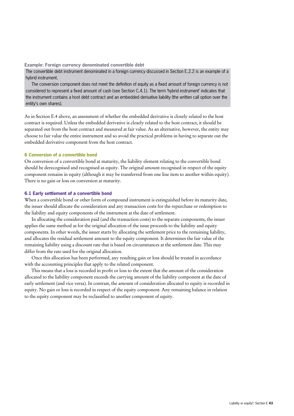**Example: Foreign currency denominated convertible debt**

 The convertible debt instrument denominated in a foreign currency discussed in Section E.2.2 is an example of a hybrid instrument.

The conversion component does not meet the definition of equity as a fixed amount of foreign currency is not considered to represent a fixed amount of cash (see Section C.4.1). The term 'hybrid instrument' indicates that the instrument contains a host debt contract and an embedded derivative liability (the written call option over the entity's own shares).

As in Section E.4 above, an assessment of whether the embedded derivative is closely related to the host contract is required. Unless the embedded derivative is closely related to the host contract, it should be separated out from the host contract and measured at fair value. As an alternative, however, the entity may choose to fair value the entire instrument and so avoid the practical problems in having to separate out the embedded derivative component from the host contract.

#### **6 Conversion of a convertible bond**

On conversion of a convertible bond at maturity, the liability element relating to the convertible bond should be derecognised and recognised as equity. The original amount recognised in respect of the equity component remains in equity (although it may be transferred from one line item to another within equity). There is no gain or loss on conversion at maturity.

#### **6.1 Early settlement of a convertible bond**

When a convertible bond or other form of compound instrument is extinguished before its maturity date, the issuer should allocate the consideration and any transaction costs for the repurchase or redemption to the liability and equity components of the instrument at the date of settlement.

In allocating the consideration paid (and the transaction costs) to the separate components, the issuer applies the same method as for the original allocation of the issue proceeds to the liability and equity components. In other words, the issuer starts by allocating the settlement price to the remaining liability, and allocates the residual settlement amount to the equity component. It determines the fair value of the remaining liability using a discount rate that is based on circumstances at the settlement date. This may differ from the rate used for the original allocation.

Once this allocation has been performed, any resulting gain or loss should be treated in accordance with the accounting principles that apply to the related component.

This means that a loss is recorded in profit or loss to the extent that the amount of the consideration allocated to the liability component exceeds the carrying amount of the liability component at the date of early settlement (and vice versa). In contrast, the amount of consideration allocated to equity is recorded in equity. No gain or loss is recorded in respect of the equity component. Any remaining balance in relation to the equity component may be reclassified to another component of equity.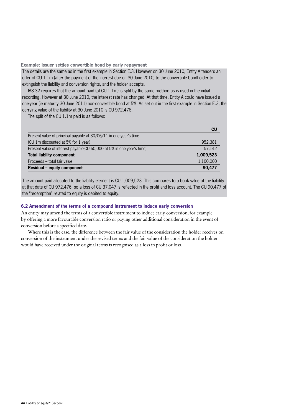**Example: Issuer settles convertible bond by early repayment**

 The details are the same as in the first example in Section E.3. However on 30 June 2010, Entity A tenders an offer of CU 1.1m (after the payment of the interest due on 30 June 2010) to the convertible bondholder to extinguish the liability and conversion rights, and the holder accepts.

IAS 32 requires that the amount paid (of CU 1.1m) is split by the same method as is used in the initial recording. However at 30 June 2010, the interest rate has changed. At that time, Entity A could have issued a one-year (ie maturity 30 June 2011) non-convertible bond at 5%. As set out in the first example in Section E.3, the carrying value of the liability at 30 June 2010 is CU 972,476.

The split of the CU 1.1m paid is as follows:

|                                                                        | CU        |
|------------------------------------------------------------------------|-----------|
| Present value of principal payable at 30/06/11 in one year's time      |           |
| (CU 1m discounted at 5% for 1 year)                                    | 952,381   |
| Present value of interest payable (CU 60,000 at 5% in one year's time) | 57,142    |
| <b>Total liability component</b>                                       | 1,009,523 |
| Proceeds - total fair value                                            | 1,100,000 |
| Residual – equity component                                            | 90,477    |

 The amount paid allocated to the liability element is CU 1,009,523. This compares to a book value of the liability at that date of CU 972,476, so a loss of CU 37,047 is reflected in the profit and loss account. The CU 90,477 of the "redemption" related to equity is debited to equity.

#### **6.2 Amendment of the terms of a compound instrument to induce early conversion**

An entity may amend the terms of a convertible instrument to induce early conversion, for example by offering a more favourable conversion ratio or paying other additional consideration in the event of conversion before a specified date.

Where this is the case, the difference between the fair value of the consideration the holder receives on conversion of the instrument under the revised terms and the fair value of the consideration the holder would have received under the original terms is recognised as a loss in profit or loss.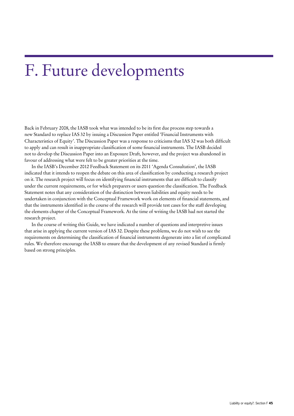## F. Future developments

Back in February 2008, the IASB took what was intended to be its first due process step towards a new Standard to replace IAS 32 by issuing a Discussion Paper entitled 'Financial Instruments with Characteristics of Equity'. The Discussion Paper was a response to criticisms that IAS 32 was both difficult to apply and can result in inappropriate classification of some financial instruments. The IASB decided not to develop the Discussion Paper into an Exposure Draft, however, and the project was abandoned in favour of addressing what were felt to be greater priorities at the time.

In the IASB's December 2012 Feedback Statement on its 2011 'Agenda Consultation', the IASB indicated that it intends to reopen the debate on this area of classification by conducting a research project on it. The research project will focus on identifying financial instruments that are difficult to classify under the current requirements, or for which preparers or users question the classification. The Feedback Statement notes that any consideration of the distinction between liabilities and equity needs to be undertaken in conjunction with the Conceptual Framework work on elements of financial statements, and that the instruments identified in the course of the research will provide test cases for the staff developing the elements chapter of the Conceptual Framework. At the time of writing the IASB had not started the research project.

In the course of writing this Guide, we have indicated a number of questions and interpretive issues that arise in applying the current version of IAS 32. Despite these problems, we do not wish to see the requirements on determining the classification of financial instruments degenerate into a list of complicated rules. We therefore encourage the IASB to ensure that the development of any revised Standard is firmly based on strong principles.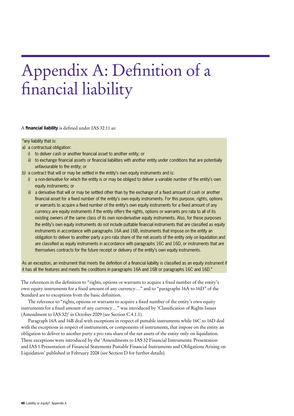## Appendix A: Definition of a financial liability

A **financial liability** is defined under IAS 32.11 as:

"any liability that is:

- a) a contractual obligation:
	- i) to deliver cash or another financial asset to another entity; or
	- ii) to exchange financial assets or financial liabilities with another entity under conditions that are potentially unfavourable to the entity; or
- b) a contract that will or may be settled in the entity's own equity instruments and is:
	- i) a non-derivative for which the entity is or may be obliged to deliver a variable number of the entity's own equity instruments; or
	- ii) a derivative that will or may be settled other than by the exchange of a fixed amount of cash or another financial asset for a fixed number of the entity's own equity instruments. For this purpose, rights, options or warrants to acquire a fixed number of the entity's own equity instruments for a fixed amount of any currency are equity instruments if the entity offers the rights, options or warrants pro rata to all of its existing owners of the same class of its own non-derivative equity instruments. Also, for these purposes the entity's own equity instruments do not include puttable financial instruments that are classified as equity instruments in accordance with paragraphs 16A and 16B, instruments that impose on the entity an obligation to deliver to another party a pro rata share of the net assets of the entity only on liquidation and are classified as equity instruments in accordance with paragraphs 16C and 16D, or instruments that are themselves contracts for the future receipt or delivery of the entity's own equity instruments.

 As an exception, an instrument that meets the definition of a financial liability is classified as an equity instrument if it has all the features and meets the conditions in paragraphs 16A and 16B or paragraphs 16C and 16D."

The references in the definition to "rights, options or warrants to acquire a fixed number of the entity's own equity instruments for a fixed amount of any currency…" and to "paragraphs 16A to 16D" of the Standard are to exceptions from the basic definition.

The reference to "rights, options or warrants to acquire a fixed number of the entity's own equity instruments for a fixed amount of any currency…" was introduced by 'Classification of Rights Issues (Amendment to IAS 32)' in October 2009 (see Section C.4.1.1).

Paragraph 16A and 16B deal with exceptions in respect of puttable instruments while 16C to 16D deal with the exceptions in respect of instruments, or components of instruments, that impose on the entity an obligation to deliver to another party a pro rata share of the net assets of the entity only on liquidation. These exceptions were introduced by the 'Amendments to IAS 32 Financial Instruments: Presentation and IAS 1 Presentation of Financial Statements Puttable Financial Instruments and Obligations Arising on Liquidation' published in February 2008 (see Section D for further details).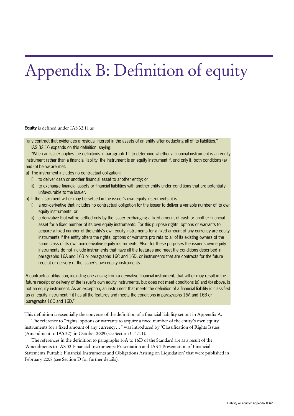## Appendix B: Definition of equity

**Equity** is defined under IAS 32.11 as

"any contract that evidences a residual interest in the assets of an entity after deducting all of its liabilities." IAS 32.16 expands on this definition, saying:

"When an issuer applies the definitions in paragraph 11 to determine whether a financial instrument is an equity instrument rather than a financial liability, the instrument is an equity instrument if, and only if, both conditions (a) and (b) below are met.

- a) The instrument includes no contractual obligation:
	- i) to deliver cash or another financial asset to another entity; or
	- ii) to exchange financial assets or financial liabilities with another entity under conditions that are potentially unfavourable to the issuer.

b) If the instrument will or may be settled in the issuer's own equity instruments, it is:

- i) a non-derivative that includes no contractual obligation for the issuer to deliver a variable number of its own equity instruments; or
- ii) a derivative that will be settled only by the issuer exchanging a fixed amount of cash or another financial asset for a fixed number of its own equity instruments. For this purpose rights, options or warrants to acquire a fixed number of the entity's own equity instruments for a fixed amount of any currency are equity instruments if the entity offers the rights, options or warrants pro rata to all of its existing owners of the same class of its own non-derivative equity instruments. Also, for these purposes the issuer's own equity instruments do not include instruments that have all the features and meet the conditions described in paragraphs 16A and 16B or paragraphs 16C and 16D, or instruments that are contracts for the future receipt or delivery of the issuer's own equity instruments.

 A contractual obligation, including one arising from a derivative financial instrument, that will or may result in the future receipt or delivery of the issuer's own equity instruments, but does not meet conditions (a) and (b) above, is not an equity instrument. As an exception, an instrument that meets the definition of a financial liability is classified as an equity instrument if it has all the features and meets the conditions in paragraphs 16A and 16B or paragraphs 16C and 16D."

This definition is essentially the converse of the definition of a financial liability set out in Appendix A.

The reference to "rights, options or warrants to acquire a fixed number of the entity's own equity instruments for a fixed amount of any currency…" was introduced by 'Classification of Rights Issues (Amendment to IAS 32)' in October 2009 (see Section C.4.1.1).

The references in the definition to paragraphs 16A to 16D of the Standard are as a result of the 'Amendments to IAS 32 Financial Instruments: Presentation and IAS 1 Presentation of Financial Statements Puttable Financial Instruments and Obligations Arising on Liquidation' that were published in February 2008 (see Section D for further details).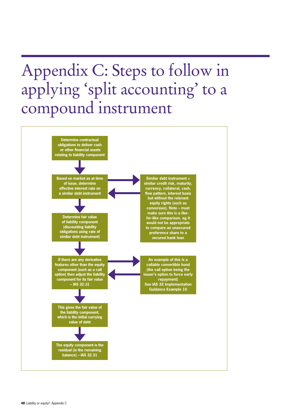## Appendix C: Steps to follow in applying 'split accounting' to a compound instrument

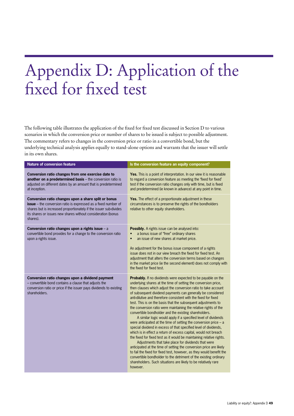## Appendix D: Application of the fixed for fixed test

The following table illustrates the application of the fixed for fixed test discussed in Section D to various scenarios in which the conversion price or number of shares to be issued is subject to possible adjustment. The commentary refers to changes in the conversion price or ratio in a convertible bond, but the underlying technical analysis applies equally to stand-alone options and warrants that the issuer will settle in its own shares.

| <b>Nature of conversion feature</b>                                                                                                                                                                                                                                            | Is the conversion feature an equity component?                                                                                                                                                                                                                                                                                                                                                                                                                                                                                                                                                                                                                                                                                                                                                                                                                                                                                                                                                                                                                                                                                                                                                                                                       |
|--------------------------------------------------------------------------------------------------------------------------------------------------------------------------------------------------------------------------------------------------------------------------------|------------------------------------------------------------------------------------------------------------------------------------------------------------------------------------------------------------------------------------------------------------------------------------------------------------------------------------------------------------------------------------------------------------------------------------------------------------------------------------------------------------------------------------------------------------------------------------------------------------------------------------------------------------------------------------------------------------------------------------------------------------------------------------------------------------------------------------------------------------------------------------------------------------------------------------------------------------------------------------------------------------------------------------------------------------------------------------------------------------------------------------------------------------------------------------------------------------------------------------------------------|
| Conversion ratio changes from one exercise date to<br>another on a predetermined basis - the conversion ratio is<br>adjusted on different dates by an amount that is predetermined<br>at inception.                                                                            | Yes. This is a point of interpretation. In our view it is reasonable<br>to regard a conversion feature as meeting the 'fixed for fixed'<br>test if the conversion ratio changes only with time, but is fixed<br>and predetermined (ie known in advance) at any point in time.                                                                                                                                                                                                                                                                                                                                                                                                                                                                                                                                                                                                                                                                                                                                                                                                                                                                                                                                                                        |
| Conversion ratio changes upon a share split or bonus<br><b>issue</b> – the conversion ratio is expressed as a fixed number of<br>shares but is increased proportionately if the issuer sub-divides<br>its shares or issues new shares without consideration (bonus<br>shares). | Yes. The effect of a proportionate adjustment in these<br>circumstances is to preserve the rights of the bondholders<br>relative to other equity shareholders.                                                                                                                                                                                                                                                                                                                                                                                                                                                                                                                                                                                                                                                                                                                                                                                                                                                                                                                                                                                                                                                                                       |
| Conversion ratio changes upon a rights issue $- a$<br>convertible bond provides for a change to the conversion ratio<br>upon a rights issue.                                                                                                                                   | <b>Possibly.</b> A rights issue can be analysed into:<br>a bonus issue of "free" ordinary shares<br>an issue of new shares at market price.<br>$\bullet$<br>An adjustment for the bonus issue component of a rights<br>issue does not in our view breach the fixed for fixed test. An<br>adjustment that alters the conversion terms based on changes<br>in the market price (ie the second element) does not comply with<br>the fixed for fixed test.                                                                                                                                                                                                                                                                                                                                                                                                                                                                                                                                                                                                                                                                                                                                                                                               |
| Conversion ratio changes upon a dividend payment<br>- convertible bond contains a clause that adjusts the<br>conversion ratio or price if the issuer pays dividends to existing<br>shareholders.                                                                               | <b>Probably.</b> If no dividends were expected to be payable on the<br>underlying shares at the time of setting the conversion price,<br>then clauses which adjust the conversion ratio to take account<br>of subsequent dividend payments can generally be considered<br>anti-dilutive and therefore consistent with the fixed for fixed<br>test. This is on the basis that the subsequent adjustments to<br>the conversion ratio were maintaining the relative rights of the<br>convertible bondholder and the existing shareholders.<br>A similar logic would apply if a specified level of dividends<br>were anticipated at the time of setting the conversion price $- a$<br>special dividend in excess of that specified level of dividends,<br>which is in effect a return of excess capital, would not breach<br>the fixed for fixed test as it would be maintaining relative rights.<br>Adjustments that take place for dividends that were<br>anticipated at the time of setting the conversion price are likely<br>to fail the fixed for fixed test, however, as they would benefit the<br>convertible bondholder to the detriment of the existing ordinary<br>shareholders. Such situations are likely to be relatively rare<br>however. |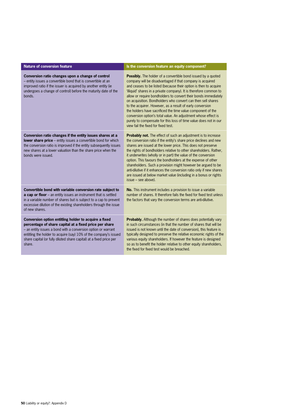## **Nature of conversion feature**

## **Is the conversion feature an equity component?**

so as to benefit the holder relative to other equity shareholders,

the fixed for fixed test would be breached.

| Conversion ratio changes upon a change of control<br>– entity issues a convertible bond that is convertible at an<br>improved ratio if the issuer is acquired by another entity (ie<br>undergoes a change of control) before the maturity date of the<br>bonds.                                                              | <b>Possibly.</b> The holder of a convertible bond issued by a quoted<br>company will be disadvantaged if that company is acquired<br>and ceases to be listed (because their option is then to acquire<br>'illiquid' shares in a private company). It is therefore common to<br>allow or require bondholders to convert their bonds immediately<br>on acquisition. Bondholders who convert can then sell shares<br>to the acquirer. However, as a result of early conversion<br>the holders have sacrificed the time value component of the<br>conversion option's total value. An adjustment whose effect is<br>purely to compensate for this loss of time value does not in our<br>view fail the fixed for fixed test. |
|------------------------------------------------------------------------------------------------------------------------------------------------------------------------------------------------------------------------------------------------------------------------------------------------------------------------------|-------------------------------------------------------------------------------------------------------------------------------------------------------------------------------------------------------------------------------------------------------------------------------------------------------------------------------------------------------------------------------------------------------------------------------------------------------------------------------------------------------------------------------------------------------------------------------------------------------------------------------------------------------------------------------------------------------------------------|
| Conversion ratio changes if the entity issues shares at a<br><b>lower share price</b> – entity issues a convertible bond for which<br>the conversion ratio is improved if the entity subsequently issues<br>new shares at a lower valuation than the share price when the<br>bonds were issued.                              | <b>Probably not.</b> The effect of such an adjustment is to increase<br>the conversion ratio if the entity's share price declines and new<br>shares are issued at the lower price. This does not preserve<br>the rights of bondholders relative to other shareholders. Rather,<br>it underwrites (wholly or in part) the value of the conversion<br>option. This favours the bondholders at the expense of other<br>shareholders. Such a provision might however be argued to be<br>anti-dilutive if it enhances the conversion ratio only if new shares<br>are issued at below market value (including in a bonus or rights<br>issue – see above).                                                                     |
| Convertible bond with variable conversion rate subject to<br><b>a cap or floor</b> – an entity issues an instrument that is settled<br>in a variable number of shares but is subject to a cap to prevent<br>excessive dilution of the existing shareholders through the issue<br>of new shares.                              | No. This instrument includes a provision to issue a variable<br>number of shares. It therefore fails the fixed for fixed test unless<br>the factors that vary the conversion terms are anti-dilutive.                                                                                                                                                                                                                                                                                                                                                                                                                                                                                                                   |
| Conversion option entitling holder to acquire a fixed<br>percentage of share capital at a fixed price per share<br>- an entity issues a bond with a conversion option or warrant<br>entitling the holder to acquire (say) 10% of the company's issued<br>share capital (or fully diluted share capital) at a fixed price per | <b>Probably.</b> Although the number of shares does potentially vary<br>in such circumstances (in that the number of shares that will be<br>issued is not known until the date of conversion), this feature is<br>typically designed to preserve the relative economic rights of the<br>various equity shareholders. If however the feature is designed                                                                                                                                                                                                                                                                                                                                                                 |

share.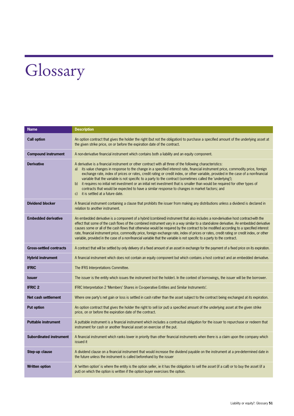# Glossary

| <b>Name</b>                    | <b>Description</b>                                                                                                                                                                                                                                                                                                                                                                                                                                                                                                                                                                                                                                                                                                                                                                           |
|--------------------------------|----------------------------------------------------------------------------------------------------------------------------------------------------------------------------------------------------------------------------------------------------------------------------------------------------------------------------------------------------------------------------------------------------------------------------------------------------------------------------------------------------------------------------------------------------------------------------------------------------------------------------------------------------------------------------------------------------------------------------------------------------------------------------------------------|
| <b>Call option</b>             | An option contract that gives the holder the right (but not the obligation) to purchase a specified amount of the underlying asset at<br>the given strike price, on or before the expiration date of the contract.                                                                                                                                                                                                                                                                                                                                                                                                                                                                                                                                                                           |
| <b>Compound instrument</b>     | A non-derivative financial instrument which contains both a liability and an equity component.                                                                                                                                                                                                                                                                                                                                                                                                                                                                                                                                                                                                                                                                                               |
| <b>Derivative</b>              | A derivative is a financial instrument or other contract with all three of the following characteristics:<br>a) its value changes in response to the change in a specified interest rate, financial instrument price, commodity price, foreign<br>exchange rate, index of prices or rates, credit rating or credit index, or other variable, provided in the case of a non-financial<br>variable that the variable is not specific to a party to the contract (sometimes called the 'underlying');<br>it requires no initial net investment or an initial net investment that is smaller than would be required for other types of<br>b)<br>contracts that would be expected to have a similar response to changes in market factors; and<br>it is settled at a future date.<br>$\mathsf{C}$ |
| <b>Dividend blocker</b>        | A financial instrument containing a clause that prohibits the issuer from making any distributions unless a dividend is declared in<br>relation to another instrument.                                                                                                                                                                                                                                                                                                                                                                                                                                                                                                                                                                                                                       |
| <b>Embedded derivative</b>     | An embedded derivative is a component of a hybrid (combined) instrument that also includes a non-derivative host contract-with the<br>effect that some of the cash flows of the combined instrument vary in a way similar to a stand-alone derivative. An embedded derivative<br>causes some or all of the cash flows that otherwise would be required by the contract to be modified according to a specified interest<br>rate, financial instrument price, commodity price, foreign exchange rate, index of prices or rates, credit rating or credit index, or other<br>variable, provided in the case of a non-financial variable that the variable is not specific to a party to the contract.                                                                                           |
| <b>Gross-settled contracts</b> | A contract that will be settled by only delivery of a fixed amount of an asset in exchange for the payment of a fixed price on its expiration.                                                                                                                                                                                                                                                                                                                                                                                                                                                                                                                                                                                                                                               |
| <b>Hybrid instrument</b>       | A financial instrument which does not contain an equity component but which contains a host contract and an embedded derivative.                                                                                                                                                                                                                                                                                                                                                                                                                                                                                                                                                                                                                                                             |
| <b>IFRIC</b>                   | The IFRS Interpretations Committee.                                                                                                                                                                                                                                                                                                                                                                                                                                                                                                                                                                                                                                                                                                                                                          |
| <b>Issuer</b>                  | The issuer is the entity which issues the instrument (not the holder). In the context of borrowings, the issuer will be the borrower.                                                                                                                                                                                                                                                                                                                                                                                                                                                                                                                                                                                                                                                        |
| <b>IFRIC 2</b>                 | IFRIC Interpretation 2 'Members' Shares in Co-operative Entities and Similar Instruments'.                                                                                                                                                                                                                                                                                                                                                                                                                                                                                                                                                                                                                                                                                                   |
| Net cash settlement            | Where one party's net gain or loss is settled in cash rather than the asset subject to the contract being exchanged at its expiration.                                                                                                                                                                                                                                                                                                                                                                                                                                                                                                                                                                                                                                                       |
| <b>Put option</b>              | An option contract that gives the holder the right to sell (or put) a specified amount of the underlying asset at the given strike<br>price, on or before the expiration date of the contract.                                                                                                                                                                                                                                                                                                                                                                                                                                                                                                                                                                                               |
| <b>Puttable instrument</b>     | A puttable instrument is a financial instrument which includes a contractual obligation for the issuer to repurchase or redeem that<br>instrument for cash or another financial asset on exercise of the put.                                                                                                                                                                                                                                                                                                                                                                                                                                                                                                                                                                                |
| <b>Subordinated instrument</b> | A financial instrument which ranks lower in priority than other financial instruments when there is a claim upon the company which<br>issued it                                                                                                                                                                                                                                                                                                                                                                                                                                                                                                                                                                                                                                              |
| Step-up clause                 | A dividend clause on a financial instrument that would increase the dividend payable on the instrument at a pre-determined date in<br>the future unless the instrument is called beforehand by the issuer                                                                                                                                                                                                                                                                                                                                                                                                                                                                                                                                                                                    |
| <b>Written option</b>          | A 'written option' is where the entity is the option seller, ie it has the obligation to sell the asset (if a call) or to buy the asset (if a<br>put) on which the option is written if the option buyer exercises the option.                                                                                                                                                                                                                                                                                                                                                                                                                                                                                                                                                               |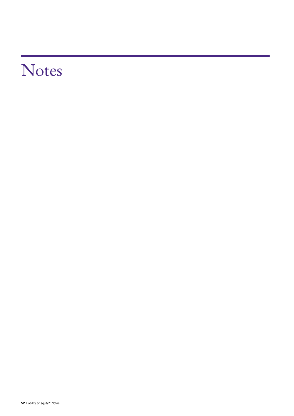## Notes